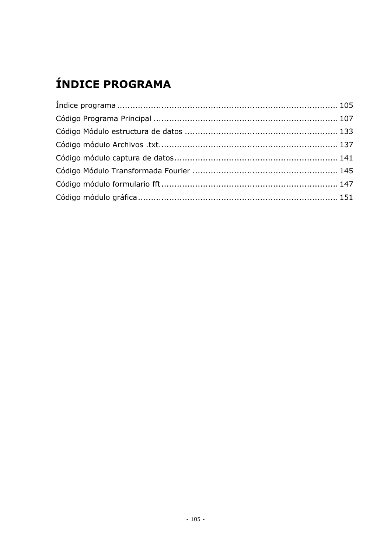# <span id="page-0-0"></span>ÍNDICE PROGRAMA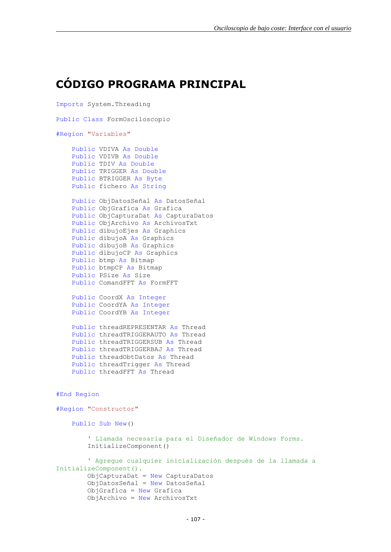#### <span id="page-2-0"></span>**CÓDIGO PROGRAMA PRINCIPAL**

```
Imports System.Threading
Public Class FormOsciloscopio
#Region "Variables"
     Public VDIVA As Double
     Public VDIVB As Double
     Public TDIV As Double
     Public TRIGGER As Double
     Public BTRIGGER As Byte
     Public fichero As String
    Public ObjDatosSeñal As DatosSeñal
     Public ObjGrafica As Grafica
     Public ObjCapturaDat As CapturaDatos
     Public ObjArchivo As ArchivosTxt
     Public dibujoEjes As Graphics
     Public dibujoA As Graphics
     Public dibujoB As Graphics
     Public dibujoCP As Graphics
     Public btmp As Bitmap
     Public btmpCP As Bitmap
     Public PSize As Size
     Public ComandFFT As FormFFT
     Public CoordX As Integer
     Public CoordYA As Integer
     Public CoordYB As Integer
     Public threadREPRESENTAR As Thread
     Public threadTRIGGERAUTO As Thread
     Public threadTRIGGERSUB As Thread
     Public threadTRIGGERBAJ As Thread
     Public threadObtDatos As Thread
    Public threadTrigger As Thread
     Public threadFFT As Thread
#End Region
#Region "Constructor"
     Public Sub New()
         ' Llamada necesaria para el Diseñador de Windows Forms.
         InitializeComponent()
         ' Agregue cualquier inicialización después de la llamada a 
InitializeComponent().
         ObjCapturaDat = New CapturaDatos
         ObjDatosSeñal = New DatosSeñal
         ObjGrafica = New Grafica
         ObjArchivo = New ArchivosTxt
```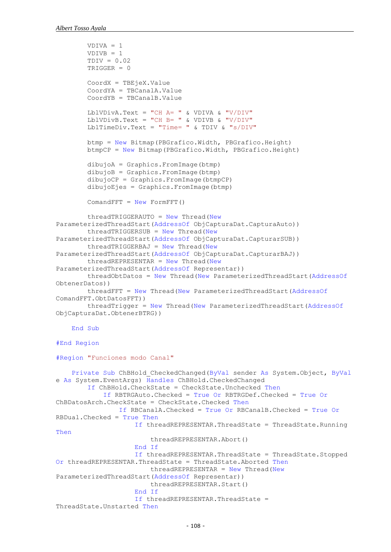```
 VDIVA = 1
        VDIVB = 1TDIV = 0.02 TRIGGER = 0
         CoordX = TBEjeX.Value
         CoordYA = TBCanalA.Value
         CoordYB = TBCanalB.Value
        LblVDivA.Text = "CH A = " & VDIVA & "V/DIV"
        LblVDivB.Text = "CH B = " & VDIVB & "V/DIV"
        LblTimeDiv.Text = "Time= " \& TDIV \& "s/DIV"
         btmp = New Bitmap(PBGrafico.Width, PBGrafico.Height)
         btmpCP = New Bitmap(PBGrafico.Width, PBGrafico.Height)
         dibujoA = Graphics.FromImage(btmp)
         dibujoB = Graphics.FromImage(btmp)
         dibujoCP = Graphics.FromImage(btmpCP)
         dibujoEjes = Graphics.FromImage(btmp)
        ComandFFT = New FormFFT() threadTRIGGERAUTO = New Thread(New
ParameterizedThreadStart(AddressOf ObjCapturaDat.CapturaAuto))
        threadTRIGGERSUB = New Thread(New)ParameterizedThreadStart(AddressOf ObjCapturaDat.CapturarSUB))
         threadTRIGGERBAJ = New Thread(New
ParameterizedThreadStart(AddressOf ObjCapturaDat.CapturarBAJ))
        threedREPRESENTAR = New Thread(New)ParameterizedThreadStart(AddressOf Representar))
         threadObtDatos = New Thread(New ParameterizedThreadStart(AddressOf
ObtenerDatos))
         threadFFT = New Thread(New ParameterizedThreadStart(AddressOf
ComandFFT.ObtDatosFFT))
         threadTrigger = New Thread(New ParameterizedThreadStart(AddressOf
ObjCapturaDat.ObtenerBTRG))
     End Sub
#End Region
#Region "Funciones modo Canal"
     Private Sub ChBHold_CheckedChanged(ByVal sender As System.Object, ByVal
e As System.EventArgs) Handles ChBHold.CheckedChanged
         If ChBHold.CheckState = CheckState.Unchecked Then
             If RBTRGAuto.Checked = True Or RBTRGDef.Checked = True Or
ChBDatosArch.CheckState = CheckState.Checked Then
                 If RBCanalA.Checked = True Or RBCanalB.Checked = True Or
RBDual.Checked = True Then
                     If threadREPRESENTAR.ThreadState = ThreadState.Running 
Then
                         threadREPRESENTAR.Abort()
                     End If
                    If threadREPRESENTAR.ThreadState = ThreadState.Stopped 
Or threadREPRESENTAR.ThreadState = ThreadState.Aborted Then
                        threedREPRESENTAR = New Thread(New)ParameterizedThreadStart(AddressOf Representar))
                         threadREPRESENTAR.Start()
                     End If
                    If threadREPRESENTAR.ThreadState = 
ThreadState.Unstarted Then
```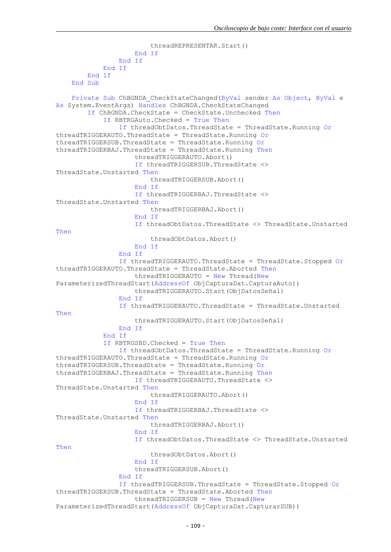```
 threadREPRESENTAR.Start()
                     End If
                 End If
             End If
         End If
     End Sub
     Private Sub ChBGNDA_CheckStateChanged(ByVal sender As Object, ByVal e 
As System.EventArgs) Handles ChBGNDA.CheckStateChanged
         If ChBGNDA.CheckState = CheckState.Unchecked Then
             If RBTRGAuto.Checked = True Then
                 If threadObtDatos.ThreadState = ThreadState.Running Or
threadTRIGGERAUTO.ThreadState = ThreadState.Running Or
threadTRIGGERSUB.ThreadState = ThreadState.Running Or
threadTRIGGERBAJ.ThreadState = ThreadState.Running Then
                     threadTRIGGERAUTO.Abort()
                    If threadTRIGGERSUB.ThreadState <> 
ThreadState.Unstarted Then
                          threadTRIGGERSUB.Abort()
                     End If
                    If threadTRIGGERBAJ.ThreadState <> 
ThreadState.Unstarted Then
                          threadTRIGGERBAJ.Abort()
                     End If
                    If threadObtDatos.ThreadState <> ThreadState.Unstarted 
Then
                          threadObtDatos.Abort()
                     End If
                 End If
                 If threadTRIGGERAUTO.ThreadState = ThreadState.Stopped Or
threadTRIGGERAUTO.ThreadState = ThreadState.Aborted Then
                     threadTRIGGERAUTO = New Thread(New
ParameterizedThreadStart(AddressOf ObjCapturaDat.CapturaAuto))
                     threadTRIGGERAUTO.Start(ObjDatosSeñal)
                 End If
                 If threadTRIGGERAUTO.ThreadState = ThreadState.Unstarted 
Then
                     threadTRIGGERAUTO.Start(ObjDatosSeñal)
                 End If
             End If
             If RBTRGSBD.Checked = True Then
                 If threadObtDatos.ThreadState = ThreadState.Running Or
threadTRIGGERAUTO.ThreadState = ThreadState.Running Or
threadTRIGGERSUB.ThreadState = ThreadState.Running Or
threadTRIGGERBAJ.ThreadState = ThreadState.Running Then
                     If threadTRIGGERAUTO.ThreadState <> 
ThreadState.Unstarted Then
                          threadTRIGGERAUTO.Abort()
                     End If
                    If threadTRIGGERBAJ.ThreadState <>
ThreadState.Unstarted Then
                          threadTRIGGERBAJ.Abort()
                     End If
                    If threadObtDatos.ThreadState <> ThreadState.Unstarted 
Then
                          threadObtDatos.Abort()
                     End If
                    threadTRIGGERSUB.Abort()
                 End If
                 If threadTRIGGERSUB.ThreadState = ThreadState.Stopped Or
threadTRIGGERSUB.ThreadState = ThreadState.Aborted Then
                    threadTRIGGERSUB = New Thread(New)ParameterizedThreadStart(AddressOf ObjCapturaDat.CapturarSUB))
```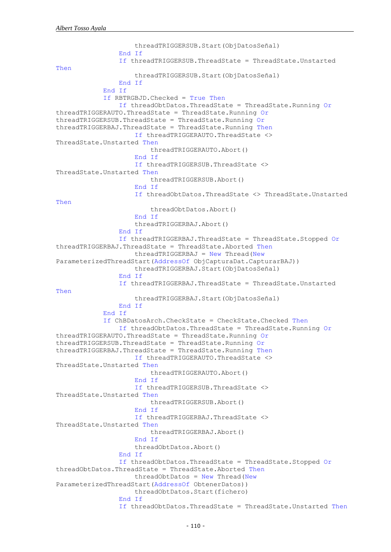threadTRIGGERSUB.Start(ObjDatosSeñal) End If If threadTRIGGERSUB.ThreadState = ThreadState.Unstarted Then threadTRIGGERSUB.Start(ObjDatosSeñal) End If End If If RBTRGBJD.Checked = True Then If threadObtDatos.ThreadState = ThreadState.Running Or threadTRIGGERAUTO.ThreadState = ThreadState.Running Or  $threadTRIGGERSUB.ThreadState = ThreadState.Runnina Or$  $threadTRIGGERBAJ.ThreadState = ThreadState.Sunning Then$  If threadTRIGGERAUTO.ThreadState <> ThreadState.Unstarted Then threadTRIGGERAUTO.Abort() End If If threadTRIGGERSUB.ThreadState <> ThreadState.Unstarted Then threadTRIGGERSUB.Abort() End If If threadObtDatos.ThreadState <> ThreadState.Unstarted Then threadObtDatos.Abort() End If threadTRIGGERBAJ.Abort() End If If threadTRIGGERBAJ.ThreadState = ThreadState.Stopped Or threadTRIGGERBAJ.ThreadState = ThreadState.Aborted Then  $threadTRIGGERBAJ = New Thread(New)$ ParameterizedThreadStart(AddressOf ObjCapturaDat.CapturarBAJ)) threadTRIGGERBAJ.Start(ObjDatosSeñal) End If If threadTRIGGERBAJ.ThreadState = ThreadState.Unstarted Then threadTRIGGERBAJ.Start(ObjDatosSeñal) End If End If If ChBDatosArch.CheckState = CheckState.Checked Then If threadObtDatos.ThreadState = ThreadState.Running Or threadTRIGGERAUTO.ThreadState = ThreadState.Running Or threadTRIGGERSUB.ThreadState = ThreadState.Running Or threadTRIGGERBAJ.ThreadState = ThreadState.Running Then If threadTRIGGERAUTO.ThreadState <> ThreadState.Unstarted Then threadTRIGGERAUTO.Abort() End If If threadTRIGGERSUB.ThreadState <> ThreadState.Unstarted Then threadTRIGGERSUB.Abort() End If If threadTRIGGERBAJ.ThreadState <> ThreadState.Unstarted Then threadTRIGGERBAJ.Abort() End If threadObtDatos.Abort() End If If threadObtDatos.ThreadState = ThreadState.Stopped Or threadObtDatos.ThreadState = ThreadState.Aborted Then  $threadObtDatos = New Thread(New)$ ParameterizedThreadStart(AddressOf ObtenerDatos)) threadObtDatos.Start(fichero) End If If threadObtDatos.ThreadState = ThreadState.Unstarted Then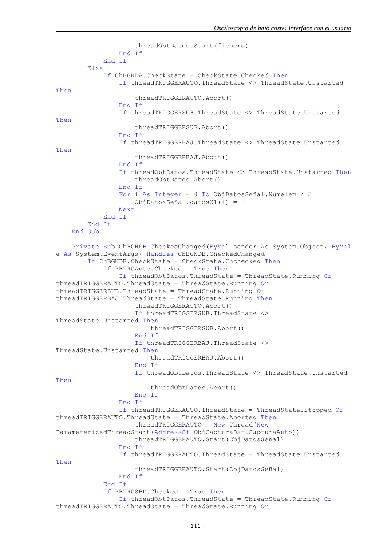```
 threadObtDatos.Start(fichero)
                 End If
             End If
         Else
             If ChBGNDA.CheckState = CheckState.Checked Then
                 If threadTRIGGERAUTO.ThreadState <> ThreadState.Unstarted 
Then
                     threadTRIGGERAUTO.Abort()
                 End If
                 If threadTRIGGERSUB.ThreadState <> ThreadState.Unstarted 
Then
                     threadTRIGGERSUB.Abort()
                 End If
                 If threadTRIGGERBAJ.ThreadState <> ThreadState.Unstarted 
Then
                     threadTRIGGERBAJ.Abort()
                 End If
                 If threadObtDatos.ThreadState <> ThreadState.Unstarted Then
                     threadObtDatos.Abort()
                 End If
                 For i As Integer = 0 To ObjDatosSeñal.Numelem / 2
                     ObjDatosSeñal.datosX1(i) = 0
                 Next
             End If
         End If
     End Sub
     Private Sub ChBGNDB_CheckedChanged(ByVal sender As System.Object, ByVal
e As System.EventArgs) Handles ChBGNDB.CheckedChanged
         If ChBGNDB.CheckState = CheckState.Unchecked Then
             If RBTRGAuto.Checked = True Then
                 If threadObtDatos.ThreadState = ThreadState.Running Or
threadTRIGGERAUTO.ThreadState = ThreadState.Running Or
threadTRIGGERSUB.ThreadState = ThreadState.Running Or
threadTRIGGERBAJ.ThreadState = ThreadState.Running Then
                     threadTRIGGERAUTO.Abort()
                     If threadTRIGGERSUB.ThreadState <> 
ThreadState.Unstarted Then
                          threadTRIGGERSUB.Abort()
                     End If
                     If threadTRIGGERBAJ.ThreadState <> 
ThreadState.Unstarted Then
                          threadTRIGGERBAJ.Abort()
                     End If
                    If threadObtDatos.ThreadState <> ThreadState.Unstarted 
Then
                          threadObtDatos.Abort()
                     End If
                 End If
                 If threadTRIGGERAUTO.ThreadState = ThreadState.Stopped Or
threadTRIGGERAUTO.ThreadState = ThreadState.Aborted Then
                     threadTRIGGERAUTO = New Thread(New
ParameterizedThreadStart(AddressOf ObjCapturaDat.CapturaAuto))
                     threadTRIGGERAUTO.Start(ObjDatosSeñal)
                 End If
                 If threadTRIGGERAUTO.ThreadState = ThreadState.Unstarted 
Then
                     threadTRIGGERAUTO.Start(ObjDatosSeñal)
                 End If
             End If
             If RBTRGSBD.Checked = True Then
                 If threadObtDatos.ThreadState = ThreadState.Running Or
threadTRIGGERAUTO.ThreadState = ThreadState.Running Or
```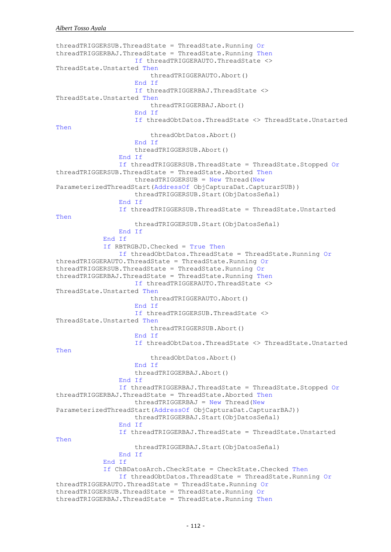```
threadTRIGGERSUB.ThreadState = ThreadState.Running Or
threadTRIGGERBAJ.ThreadState = ThreadState.Running Then
                     If threadTRIGGERAUTO.ThreadState <> 
ThreadState.Unstarted Then
                         threadTRIGGERAUTO.Abort()
                     End If
                    If threadTRIGGERBAJ.ThreadState <> 
ThreadState.Unstarted Then
                         threadTRIGGERBAJ.Abort()
                     End If
                    If threadObtDatos.ThreadState <> ThreadState.Unstarted 
Then
                         threadObtDatos.Abort()
                     End If
                    threadTRIGGERSUB.Abort()
                 End If
                 If threadTRIGGERSUB.ThreadState = ThreadState.Stopped Or
threadTRIGGERSUB.ThreadState = ThreadState.Aborted Then
                    threadTRIGGERSUB = New Thread(New)ParameterizedThreadStart(AddressOf ObjCapturaDat.CapturarSUB))
                     threadTRIGGERSUB.Start(ObjDatosSeñal)
                 End If
                 If threadTRIGGERSUB.ThreadState = ThreadState.Unstarted 
Then
                     threadTRIGGERSUB.Start(ObjDatosSeñal)
                 End If
             End If
             If RBTRGBJD.Checked = True Then
                 If threadObtDatos.ThreadState = ThreadState.Running Or
threadTRIGGERAUTO.ThreadState = ThreadState.Running Or
threadTRIGGERSUB.ThreadState = ThreadState.Running Or
threadTRIGGERBAJ.ThreadState = ThreadState.Running Then
                     If threadTRIGGERAUTO.ThreadState <> 
ThreadState.Unstarted Then
                         threadTRIGGERAUTO.Abort()
                     End If
                    If threadTRIGGERSUB.ThreadState <> 
ThreadState.Unstarted Then
                         threadTRIGGERSUB.Abort()
                     End If
                    If threadObtDatos.ThreadState <> ThreadState.Unstarted 
Then
                         threadObtDatos.Abort()
                     End If
                    threadTRIGGERBAJ.Abort()
                 End If
                 If threadTRIGGERBAJ.ThreadState = ThreadState.Stopped Or
threadTRIGGERBAJ.ThreadState = ThreadState.Aborted Then
                    threadTRIGGERBAJ = New Thread(NewParameterizedThreadStart(AddressOf ObjCapturaDat.CapturarBAJ))
                     threadTRIGGERBAJ.Start(ObjDatosSeñal)
                 End If
                 If threadTRIGGERBAJ.ThreadState = ThreadState.Unstarted 
Then
                     threadTRIGGERBAJ.Start(ObjDatosSeñal)
                 End If
             End If
             If ChBDatosArch.CheckState = CheckState.Checked Then
                 If threadObtDatos.ThreadState = ThreadState.Running Or
threadTRIGGERAUTO.ThreadState = ThreadState.Running Or
threadTRIGGERSUB.ThreadState = ThreadState.Running Or
threadTRIGGERBAJ.ThreadState = ThreadState.Running Then
```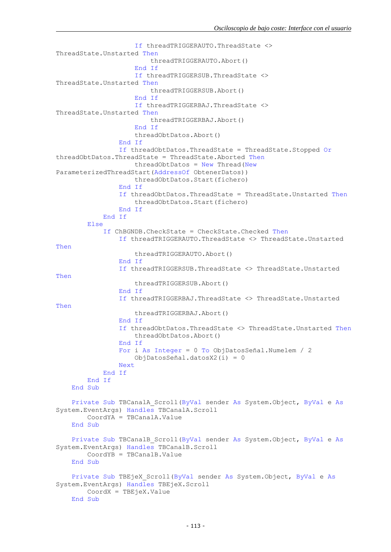```
 If threadTRIGGERAUTO.ThreadState <> 
ThreadState.Unstarted Then
                          threadTRIGGERAUTO.Abort()
                     End If
                    If threadTRIGGERSUB.ThreadState <> 
ThreadState.Unstarted Then
                          threadTRIGGERSUB.Abort()
                     End If
                    If threadTRIGGERBAJ.ThreadState <> 
ThreadState.Unstarted Then
                          threadTRIGGERBAJ.Abort()
                     End If
                    threadObtDatos.Abort()
                 End If
                 If threadObtDatos.ThreadState = ThreadState.Stopped Or
threadObtDatos.ThreadState = ThreadState.Aborted Then
                    threadObtDatos = New Thread(New)ParameterizedThreadStart(AddressOf ObtenerDatos))
                     threadObtDatos.Start(fichero)
                 End If
                 If threadObtDatos.ThreadState = ThreadState.Unstarted Then
                     threadObtDatos.Start(fichero)
                 End If
             End If
         Else
             If ChBGNDB.CheckState = CheckState.Checked Then
                 If threadTRIGGERAUTO.ThreadState <> ThreadState.Unstarted 
Then
                     threadTRIGGERAUTO.Abort()
                 End If
                 If threadTRIGGERSUB.ThreadState <> ThreadState.Unstarted 
Then
                     threadTRIGGERSUB.Abort()
                 End If
                 If threadTRIGGERBAJ.ThreadState <> ThreadState.Unstarted 
Then
                     threadTRIGGERBAJ.Abort()
                 End If
                 If threadObtDatos.ThreadState <> ThreadState.Unstarted Then
                     threadObtDatos.Abort()
                 End If
                 For i As Integer = 0 To ObjDatosSeñal.Numelem / 2
                     ObjDatosSeñal.datosX2(i) = 0
                 Next
             End If
         End If
     End Sub
     Private Sub TBCanalA_Scroll(ByVal sender As System.Object, ByVal e As
System.EventArgs) Handles TBCanalA.Scroll
         CoordYA = TBCanalA.Value
     End Sub
     Private Sub TBCanalB_Scroll(ByVal sender As System.Object, ByVal e As
System.EventArgs) Handles TBCanalB.Scroll
         CoordYB = TBCanalB.Value
     End Sub
     Private Sub TBEjeX_Scroll(ByVal sender As System.Object, ByVal e As
System.EventArgs) Handles TBEjeX.Scroll
        CoordX = TBEjeX.Value
    End Sub
```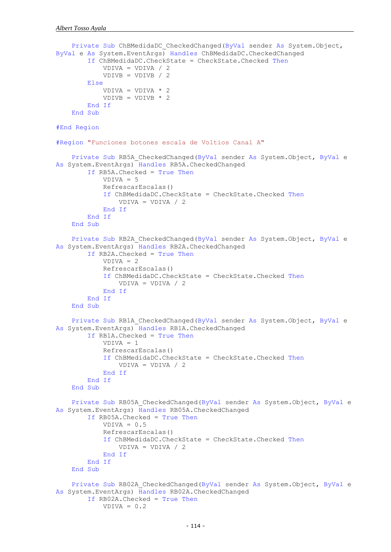```
 Private Sub ChBMedidaDC_CheckedChanged(ByVal sender As System.Object, 
ByVal e As System.EventArgs) Handles ChBMedidaDC.CheckedChanged
         If ChBMedidaDC.CheckState = CheckState.Checked Then
             VDIVA = VDIVA / 2
             VDIVB = VDIVB / 2
         Else
            VDIVA = VDIVA * 2
            VDIVB = VDIVB * 2
         End If
     End Sub
#End Region
#Region "Funciones botones escala de Voltios Canal A"
    Private Sub RB5A CheckedChanged(ByVal sender As System.Object, ByVal e
As System.EventArgs) Handles RB5A.CheckedChanged
         If RB5A.Checked = True Then
            VDIVA = 5 RefrescarEscalas()
             If ChBMedidaDC.CheckState = CheckState.Checked Then
                VDIVA = VDIVA / 2 End If
         End If
     End Sub
     Private Sub RB2A_CheckedChanged(ByVal sender As System.Object, ByVal e 
As System.EventArgs) Handles RB2A.CheckedChanged
         If RB2A.Checked = True Then
             VDIVA = 2
             RefrescarEscalas()
             If ChBMedidaDC.CheckState = CheckState.Checked Then
                 VDIVA = VDIVA / 2
             End If
         End If
     End Sub
    Private Sub RB1A CheckedChanged(ByVal sender As System.Object, ByVal e
As System.EventArgs) Handles RB1A.CheckedChanged
         If RB1A.Checked = True Then
             VDIVA = 1
             RefrescarEscalas()
             If ChBMedidaDC.CheckState = CheckState.Checked Then
                 VDIVA = VDIVA / 2
             End If
         End If
     End Sub
     Private Sub RB05A_CheckedChanged(ByVal sender As System.Object, ByVal e 
As System.EventArgs) Handles RB05A.CheckedChanged
         If RB05A.Checked = True Then
            VDIVA = 0.5 RefrescarEscalas()
             If ChBMedidaDC.CheckState = CheckState.Checked Then
                VDIVA = VDIVA / 2 End If
         End If
     End Sub
     Private Sub RB02A_CheckedChanged(ByVal sender As System.Object, ByVal e 
As System.EventArgs) Handles RB02A.CheckedChanged
         If RB02A.Checked = True Then
            VDIVA = 0.2
```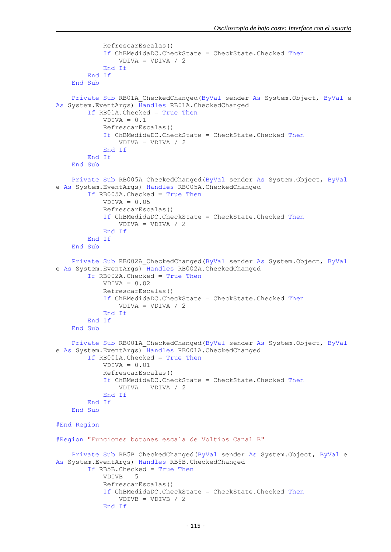```
 RefrescarEscalas()
             If ChBMedidaDC.CheckState = CheckState.Checked Then
                 VDIVA = VDIVA / 2
             End If
         End If
     End Sub
     Private Sub RB01A_CheckedChanged(ByVal sender As System.Object, ByVal e 
As System.EventArgs) Handles RB01A.CheckedChanged
         If RB01A.Checked = True Then
            VDTVA = 0.1 RefrescarEscalas()
             If ChBMedidaDC.CheckState = CheckState.Checked Then
                 VDIVA = VDIVA / 2
             End If
         End If
     End Sub
     Private Sub RB005A_CheckedChanged(ByVal sender As System.Object, ByVal
e As System.EventArgs) Handles RB005A.CheckedChanged
         If RB005A.Checked = True Then
            VDIVA = 0.05 RefrescarEscalas()
             If ChBMedidaDC.CheckState = CheckState.Checked Then
                VDIVA = VDIVA / 2 End If
         End If
     End Sub
    Private Sub RB002A CheckedChanged(ByVal sender As System.Object, ByVal
e As System.EventArgs) Handles RB002A.CheckedChanged
         If RB002A.Checked = True Then
            VDIVA = 0.02 RefrescarEscalas()
             If ChBMedidaDC.CheckState = CheckState.Checked Then
                 VDIVA = VDIVA / 2
             End If
         End If
     End Sub
     Private Sub RB001A_CheckedChanged(ByVal sender As System.Object, ByVal
e As System.EventArgs) Handles RB001A.CheckedChanged
         If RB001A.Checked = True Then
             VDIVA = 0.01
             RefrescarEscalas()
             If ChBMedidaDC.CheckState = CheckState.Checked Then
                VDIVA = VDIVA / 2 End If
         End If
     End Sub
#End Region
#Region "Funciones botones escala de Voltios Canal B"
    Private Sub RB5B CheckedChanged(ByVal sender As System.Object, ByVal e
As System.EventArgs) Handles RB5B.CheckedChanged
         If RB5B.Checked = True Then
            VDIVB = 5 RefrescarEscalas()
             If ChBMedidaDC.CheckState = CheckState.Checked Then
                VDIVB = VDIVB / 2 End If
```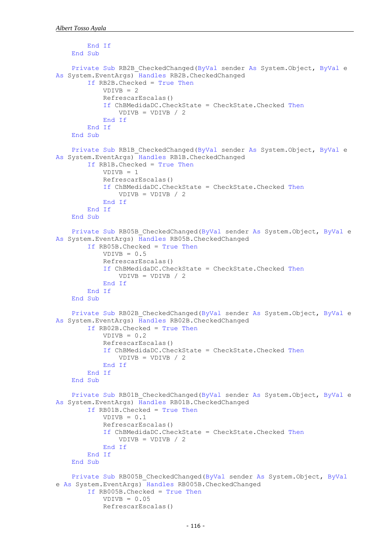```
 End If
     End Sub
    Private Sub RB2B CheckedChanged(ByVal sender As System.Object, ByVal e
As System.EventArgs) Handles RB2B.CheckedChanged
         If RB2B.Checked = True Then
             VDIVB = 2
             RefrescarEscalas()
             If ChBMedidaDC.CheckState = CheckState.Checked Then
                VDIVB = VDIVB /2 End If
         End If
     End Sub
    Private Sub RB1B CheckedChanged(ByVal sender As System.Object, ByVal e
As System.EventArgs) Handles RB1B.CheckedChanged
         If RB1B.Checked = True Then
             VDIVB = 1
             RefrescarEscalas()
             If ChBMedidaDC.CheckState = CheckState.Checked Then
                VDIVE = VDIVB / 2 End If
         End If
     End Sub
     Private Sub RB05B_CheckedChanged(ByVal sender As System.Object, ByVal e 
As System.EventArgs) Handles RB05B.CheckedChanged
         If RB05B.Checked = True Then
            VDIVB = 0.5 RefrescarEscalas()
             If ChBMedidaDC.CheckState = CheckState.Checked Then
                VDIVE = VDIVB / 2 End If
         End If
     End Sub
    Private Sub RB02B CheckedChanged(ByVal sender As System.Object, ByVal e
As System.EventArgs) Handles RB02B.CheckedChanged
         If RB02B.Checked = True Then
            VDIVB = 0.2 RefrescarEscalas()
             If ChBMedidaDC.CheckState = CheckState.Checked Then
                VDIVB = VDIVB /2 End If
         End If
     End Sub
    Private Sub RB01B CheckedChanged(ByVal sender As System.Object, ByVal e
As System.EventArgs) Handles RB01B.CheckedChanged
         If RB01B.Checked = True Then
            VDIVB = 0.1 RefrescarEscalas()
             If ChBMedidaDC.CheckState = CheckState.Checked Then
                VDIVE = VDIVB / 2 End If
         End If
     End Sub
    Private Sub RB005B CheckedChanged(ByVal sender As System.Object, ByVal
e As System.EventArgs) Handles RB005B.CheckedChanged
         If RB005B.Checked = True Then
            VDIVE = 0.05 RefrescarEscalas()
```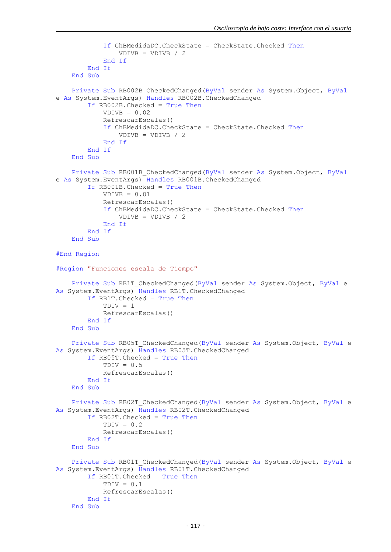```
 If ChBMedidaDC.CheckState = CheckState.Checked Then
                VDIVB = VDIVB / 2 End If
         End If
     End Sub
     Private Sub RB002B_CheckedChanged(ByVal sender As System.Object, ByVal
e As System.EventArgs) Handles RB002B.CheckedChanged
         If RB002B.Checked = True Then
            VDTVB = 0.02 RefrescarEscalas()
             If ChBMedidaDC.CheckState = CheckState.Checked Then
                VDIVB = VDIVB / 2 End If
         End If
     End Sub
     Private Sub RB001B_CheckedChanged(ByVal sender As System.Object, ByVal
e As System.EventArgs) Handles RB001B.CheckedChanged
         If RB001B.Checked = True Then
            VDIVB = 0.01 RefrescarEscalas()
             If ChBMedidaDC.CheckState = CheckState.Checked Then
                VDIVE = VDIVB / 2 End If
         End If
     End Sub
#End Region
#Region "Funciones escala de Tiempo"
    Private Sub RB1T CheckedChanged(ByVal sender As System.Object, ByVal e
As System.EventArgs) Handles RB1T.CheckedChanged
         If RB1T.Checked = True Then
            TDIV = 1 RefrescarEscalas()
         End If
     End Sub
     Private Sub RB05T_CheckedChanged(ByVal sender As System.Object, ByVal e 
As System.EventArgs) Handles RB05T.CheckedChanged
         If RB05T.Checked = True Then
            TDIV = 0.5 RefrescarEscalas()
         End If
     End Sub
     Private Sub RB02T_CheckedChanged(ByVal sender As System.Object, ByVal e 
As System.EventArgs) Handles RB02T.CheckedChanged
         If RB02T.Checked = True Then
            TDIV = 0.2 RefrescarEscalas()
         End If
     End Sub
    Private Sub RB01T CheckedChanged(ByVal sender As System.Object, ByVal e
As System.EventArgs) Handles RB01T.CheckedChanged
         If RB01T.Checked = True Then
            TDIV = 0.1 RefrescarEscalas()
         End If
     End Sub
```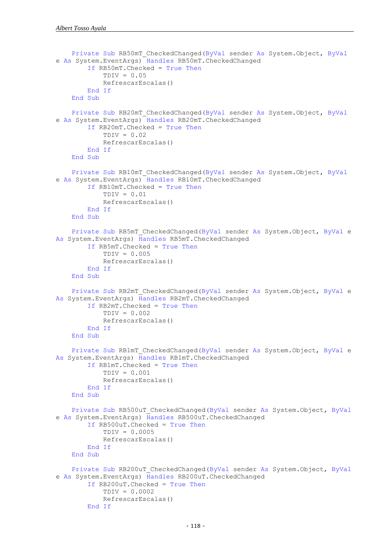```
 Private Sub RB50mT_CheckedChanged(ByVal sender As System.Object, ByVal
e As System.EventArgs) Handles RB50mT.CheckedChanged
         If RB50mT.Checked = True Then
            TDIV = 0.05 RefrescarEscalas()
         End If
     End Sub
     Private Sub RB20mT_CheckedChanged(ByVal sender As System.Object, ByVal
e As System.EventArgs) Handles RB20mT.CheckedChanged
         If RB20mT.Checked = True Then
            TDY = 0.02 RefrescarEscalas()
         End If
     End Sub
     Private Sub RB10mT_CheckedChanged(ByVal sender As System.Object, ByVal
e As System.EventArgs) Handles RB10mT.CheckedChanged
         If RB10mT.Checked = True Then
            TDIV = 0.01 RefrescarEscalas()
         End If
     End Sub
     Private Sub RB5mT_CheckedChanged(ByVal sender As System.Object, ByVal e 
As System.EventArgs) Handles RB5mT.CheckedChanged
         If RB5mT.Checked = True Then
            TDIV = 0.005 RefrescarEscalas()
         End If
     End Sub
     Private Sub RB2mT_CheckedChanged(ByVal sender As System.Object, ByVal e 
As System.EventArgs) Handles RB2mT.CheckedChanged
         If RB2mT.Checked = True Then
            TDY = 0.002 RefrescarEscalas()
         End If
     End Sub
     Private Sub RB1mT_CheckedChanged(ByVal sender As System.Object, ByVal e 
As System.EventArgs) Handles RB1mT.CheckedChanged
         If RB1mT.Checked = True Then
             TDIV = 0.001
             RefrescarEscalas()
         End If
     End Sub
     Private Sub RB500uT_CheckedChanged(ByVal sender As System.Object, ByVal
e As System.EventArgs) Handles RB500uT.CheckedChanged
         If RB500uT.Checked = True Then
             TDIV = 0.0005
             RefrescarEscalas()
         End If
     End Sub
     Private Sub RB200uT_CheckedChanged(ByVal sender As System.Object, ByVal
e As System.EventArgs) Handles RB200uT.CheckedChanged
         If RB200uT.Checked = True Then
             TDIV = 0.0002
             RefrescarEscalas()
         End If
```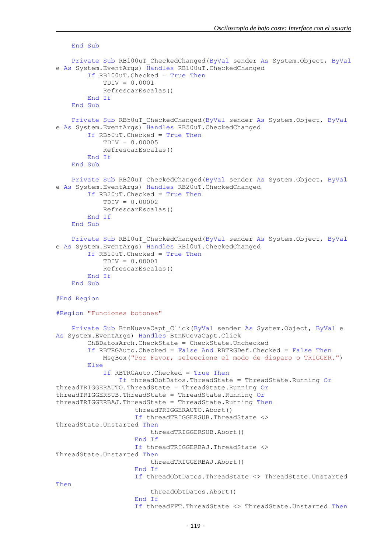```
 End Sub
    Private Sub RB100uT CheckedChanged(ByVal sender As System.Object, ByVal
e As System.EventArgs) Handles RB100uT.CheckedChanged
         If RB100uT.Checked = True Then
             TDIV = 0.0001
             RefrescarEscalas()
         End If
     End Sub
     Private Sub RB50uT_CheckedChanged(ByVal sender As System.Object, ByVal
e As System.EventArgs) Handles RB50uT.CheckedChanged
         If RB50uT.Checked = True Then
             TDIV = 0.00005
             RefrescarEscalas()
         End If
     End Sub
     Private Sub RB20uT_CheckedChanged(ByVal sender As System.Object, ByVal
e As System.EventArgs) Handles RB20uT.CheckedChanged
         If RB20uT.Checked = True Then
             TDIV = 0.00002
             RefrescarEscalas()
         End If
     End Sub
     Private Sub RB10uT_CheckedChanged(ByVal sender As System.Object, ByVal
e As System.EventArgs) Handles RB10uT.CheckedChanged
         If RB10uT.Checked = True Then
             TDIV = 0.00001
             RefrescarEscalas()
         End If
     End Sub
#End Region
#Region "Funciones botones"
     Private Sub BtnNuevaCapt_Click(ByVal sender As System.Object, ByVal e 
As System.EventArgs) Handles BtnNuevaCapt.Click
         ChBDatosArch.CheckState = CheckState.Unchecked
         If RBTRGAuto.Checked = False And RBTRGDef.Checked = False Then
             MsgBox("Por Favor, seleecione el modo de disparo o TRIGGER.")
         Else
             If RBTRGAuto.Checked = True Then
                 If threadObtDatos.ThreadState = ThreadState.Running Or
threadTRIGGERAUTO.ThreadState = ThreadState.Running Or
threadTRIGGERSUB.ThreadState = ThreadState.Running Or
threadTRIGGERBAJ.ThreadState = ThreadState.Running Then
                     threadTRIGGERAUTO.Abort()
                     If threadTRIGGERSUB.ThreadState <> 
ThreadState.Unstarted Then
                          threadTRIGGERSUB.Abort()
                     End If
                    If threadTRIGGERBAJ.ThreadState <> 
ThreadState.Unstarted Then
                          threadTRIGGERBAJ.Abort()
                     End If
                    If threadObtDatos.ThreadState <> ThreadState.Unstarted 
Then
                          threadObtDatos.Abort()
                     End If
                     If threadFFT.ThreadState <> ThreadState.Unstarted Then
```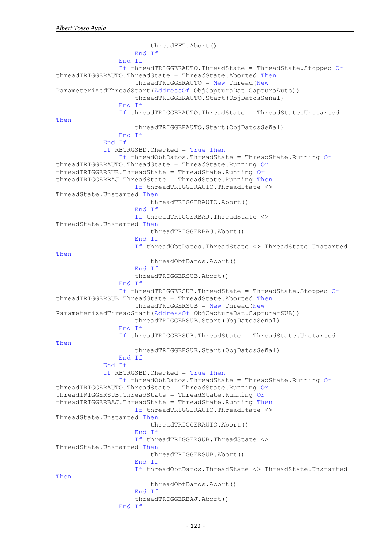```
 threadFFT.Abort()
                     End If
                 End If
                 If threadTRIGGERAUTO.ThreadState = ThreadState.Stopped Or
threadTRIGGERAUTO.ThreadState = ThreadState.Aborted Then
                     threadTRIGGERAUTO = New Thread(New
ParameterizedThreadStart(AddressOf ObjCapturaDat.CapturaAuto))
                     threadTRIGGERAUTO.Start(ObjDatosSeñal)
                 End If
                 If threadTRIGGERAUTO.ThreadState = ThreadState.Unstarted 
Then
                     threadTRIGGERAUTO.Start(ObjDatosSeñal)
                 End If
             End If
             If RBTRGSBD.Checked = True Then
                 If threadObtDatos.ThreadState = ThreadState.Running Or
threadTRIGGERAUTO.ThreadState = ThreadState.Running Or
threadTRIGGERSUB.ThreadState = ThreadState.Running Or
threadTRIGGERBAJ.ThreadState = ThreadState.Running Then
                     If threadTRIGGERAUTO.ThreadState <> 
ThreadState.Unstarted Then
                          threadTRIGGERAUTO.Abort()
                     End If
                    If threadTRIGGERBAJ.ThreadState <>
ThreadState.Unstarted Then
                          threadTRIGGERBAJ.Abort()
                     End If
                     If threadObtDatos.ThreadState <> ThreadState.Unstarted 
Then
                          threadObtDatos.Abort()
                     End If
                    threadTRIGGERSUB.Abort()
                 End If
                 If threadTRIGGERSUB.ThreadState = ThreadState.Stopped Or
threadTRIGGERSUB.ThreadState = ThreadState.Aborted Then
                     threadTRIGGERSUB = New Thread(New
ParameterizedThreadStart(AddressOf ObjCapturaDat.CapturarSUB))
                     threadTRIGGERSUB.Start(ObjDatosSeñal)
                 End If
                 If threadTRIGGERSUB.ThreadState = ThreadState.Unstarted 
Then
                     threadTRIGGERSUB.Start(ObjDatosSeñal)
                 End If
             End If
             If RBTRGSBD.Checked = True Then
                 If threadObtDatos.ThreadState = ThreadState.Running Or
threadTRIGGERAUTO.ThreadState = ThreadState.Running Or
threadTRIGGERSUB.ThreadState = ThreadState.Running Or
threadTRIGGERBAJ.ThreadState = ThreadState.Running Then
                     If threadTRIGGERAUTO.ThreadState <> 
ThreadState.Unstarted Then
                          threadTRIGGERAUTO.Abort()
                     End If
                    If threadTRIGGERSUB.ThreadState <> 
ThreadState.Unstarted Then
                          threadTRIGGERSUB.Abort()
                     End If
                    If threadObtDatos.ThreadState <> ThreadState.Unstarted 
Then
                          threadObtDatos.Abort()
                     End If
                    threadTRIGGERBAJ.Abort()
                 End If
```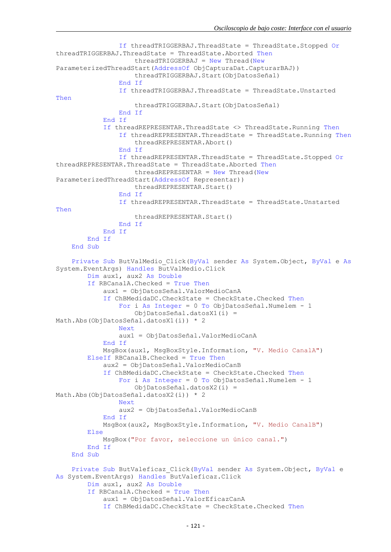```
 If threadTRIGGERBAJ.ThreadState = ThreadState.Stopped Or
threadTRIGGERBAJ.ThreadState = ThreadState.Aborted Then
                    threadTRIGGERBAJ = New Thread(New)ParameterizedThreadStart(AddressOf ObjCapturaDat.CapturarBAJ))
                     threadTRIGGERBAJ.Start(ObjDatosSeñal)
                 End If
                 If threadTRIGGERBAJ.ThreadState = ThreadState.Unstarted 
Then
                     threadTRIGGERBAJ.Start(ObjDatosSeñal)
                 End If
             End If
             If threadREPRESENTAR.ThreadState <> ThreadState.Running Then
                 If threadREPRESENTAR.ThreadState = ThreadState.Running Then
                      threadREPRESENTAR.Abort()
                 End If
                 If threadREPRESENTAR.ThreadState = ThreadState.Stopped Or
threadREPRESENTAR.ThreadState = ThreadState.Aborted Then
                    threadREPRESENTAR = New Thread(New)ParameterizedThreadStart(AddressOf Representar))
                      threadREPRESENTAR.Start()
                 End If
                 If threadREPRESENTAR.ThreadState = ThreadState.Unstarted 
Then
                     threadREPRESENTAR.Start()
                 End If
             End If
         End If
     End Sub
     Private Sub ButValMedio_Click(ByVal sender As System.Object, ByVal e As
System.EventArgs) Handles ButValMedio.Click
         Dim aux1, aux2 As Double
         If RBCanalA.Checked = True Then
             aux1 = ObjDatosSeñal.ValorMedioCanA
             If ChBMedidaDC.CheckState = CheckState.Checked Then
                 For i As Integer = 0 To ObjDatosSeñal.Numelem - 1
                     ObjDatosSeñal.datosX1(i) = 
Math.Abs(ObjDatosSeñal.datosX1(i)) * 2
                 Next
                 aux1 = ObjDatosSeñal.ValorMedioCanA
             End If
             MsgBox(aux1, MsgBoxStyle.Information, "V. Medio CanalA")
         ElseIf RBCanalB.Checked = True Then
             aux2 = ObjDatosSeñal.ValorMedioCanB
             If ChBMedidaDC.CheckState = CheckState.Checked Then
                 For i As Integer = 0 To ObjDatosSeñal.Numelem - 1
                     ObjDatosSeñal.datosX2(i) = 
Math.Abs(ObjDatosSeñal.datosX2(i)) * 2
                 Next
                 aux2 = ObjDatosSeñal.ValorMedioCanB
             End If
             MsgBox(aux2, MsgBoxStyle.Information, "V. Medio CanalB")
         Else
             MsgBox("Por favor, seleccione un único canal.")
         End If
     End Sub
     Private Sub ButValeficaz_Click(ByVal sender As System.Object, ByVal e 
As System.EventArgs) Handles ButValeficaz.Click
         Dim aux1, aux2 As Double
         If RBCanalA.Checked = True Then
             aux1 = ObjDatosSeñal.ValorEficazCanA
             If ChBMedidaDC.CheckState = CheckState.Checked Then
```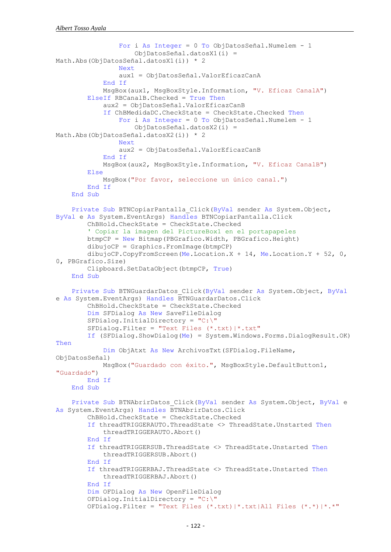```
 For i As Integer = 0 To ObjDatosSeñal.Numelem - 1
                     ObjDatosSeñal.datosX1(i) = 
Math.Abs(ObjDatosSeñal.datosX1(i)) * 2
                 Next
                 aux1 = ObjDatosSeñal.ValorEficazCanA
             End If
             MsgBox(aux1, MsgBoxStyle.Information, "V. Eficaz CanalA")
         ElseIf RBCanalB.Checked = True Then
             aux2 = ObjDatosSeñal.ValorEficazCanB
             If ChBMedidaDC.CheckState = CheckState.Checked Then
                 For i As Integer = 0 To ObjDatosSeñal.Numelem - 1
                     ObjDatosSeñal.datosX2(i) = 
Math.Abs(ObjDatosSeñal.datosX2(i)) * 2
                 Next
                 aux2 = ObjDatosSeñal.ValorEficazCanB
             End If
             MsgBox(aux2, MsgBoxStyle.Information, "V. Eficaz CanalB")
         Else
             MsgBox("Por favor, seleccione un único canal.")
         End If
     End Sub
     Private Sub BTNCopiarPantalla_Click(ByVal sender As System.Object, 
ByVal e As System.EventArgs) Handles BTNCopiarPantalla.Click
         ChBHold.CheckState = CheckState.Checked
         ' Copiar la imagen del PictureBox1 en el portapapeles
         btmpCP = New Bitmap(PBGrafico.Width, PBGrafico.Height)
        dibujoCP = Graphics.FromImage(btmpCP) dibujoCP.CopyFromScreen(Me.Location.X + 14, Me.Location.Y + 52, 0, 
0, PBGrafico.Size)
         Clipboard.SetDataObject(btmpCP, True)
     End Sub
     Private Sub BTNGuardarDatos_Click(ByVal sender As System.Object, ByVal
e As System.EventArgs) Handles BTNGuardarDatos.Click
         ChBHold.CheckState = CheckState.Checked
         Dim SFDialog As New SaveFileDialog
         SFDialog.InitialDirectory = "C:\"
         SFDialog.Filter = "Text Files (*.txt)|*.txt"
         If (SFDialog.ShowDialog(Me) = System.Windows.Forms.DialogResult.OK) 
Then
             Dim ObjAtxt As New ArchivosTxt(SFDialog.FileName, 
ObjDatosSeñal)
             MsgBox("Guardado con éxito.", MsgBoxStyle.DefaultButton1, 
"Guardado")
         End If
     End Sub
     Private Sub BTNAbrirDatos_Click(ByVal sender As System.Object, ByVal e 
As System.EventArgs) Handles BTNAbrirDatos.Click
         ChBHold.CheckState = CheckState.Checked
         If threadTRIGGERAUTO.ThreadState <> ThreadState.Unstarted Then
             threadTRIGGERAUTO.Abort()
         End If
         If threadTRIGGERSUB.ThreadState <> ThreadState.Unstarted Then
             threadTRIGGERSUB.Abort()
         End If
         If threadTRIGGERBAJ.ThreadState <> ThreadState.Unstarted Then
             threadTRIGGERBAJ.Abort()
         End If
         Dim OFDialog As New OpenFileDialog
         OFDialog.InitialDirectory = "C:\"
         OFDialog.Filter = "Text Files (*.txt)|*.txt|All Files (*.*)|*.*"
```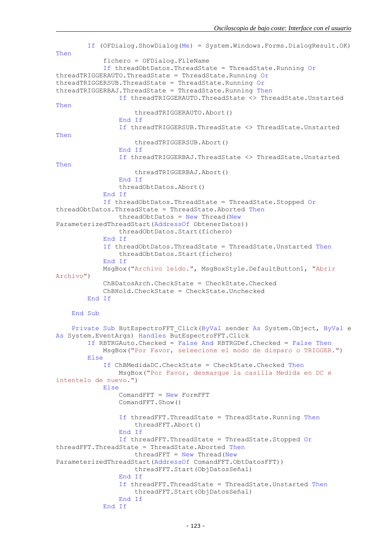If (OFDialog.ShowDialog(Me) = System.Windows.Forms.DialogResult.OK) Then fichero = OFDialog.FileName If threadObtDatos.ThreadState = ThreadState.Running Or threadTRIGGERAUTO.ThreadState = ThreadState.Running Or threadTRIGGERSUB.ThreadState = ThreadState.Running Or threadTRIGGERBAJ.ThreadState = ThreadState.Running Then If threadTRIGGERAUTO.ThreadState <> ThreadState.Unstarted Then threadTRIGGERAUTO.Abort() End If If threadTRIGGERSUB.ThreadState <> ThreadState.Unstarted Then threadTRIGGERSUB.Abort() End If If threadTRIGGERBAJ.ThreadState <> ThreadState.Unstarted Then threadTRIGGERBAJ.Abort() End If threadObtDatos.Abort() End If If threadObtDatos.ThreadState = ThreadState.Stopped Or threadObtDatos.ThreadState = ThreadState.Aborted Then  $threadObtDatos = New Thread(New)$ ParameterizedThreadStart(AddressOf ObtenerDatos)) threadObtDatos.Start(fichero) End If If threadObtDatos.ThreadState = ThreadState.Unstarted Then threadObtDatos.Start(fichero) End If MsgBox("Archivo leído.", MsgBoxStyle.DefaultButton1, "Abrir Archivo") ChBDatosArch.CheckState = CheckState.Checked ChBHold.CheckState = CheckState.Unchecked End If End Sub Private Sub ButEspectroFFT Click(ByVal sender As System.Object, ByVal e As System.EventArgs) Handles ButEspectroFFT.Click If RBTRGAuto.Checked = False And RBTRGDef.Checked = False Then MsgBox("Por Favor, seleecione el modo de disparo o TRIGGER.") Else If ChBMedidaDC.CheckState = CheckState.Checked Then MsgBox("Por Favor, desmarque la casilla Medida en DC e intentelo de nuevo.") Else ComandFFT = New FormFFT ComandFFT.Show() If threadFFT.ThreadState = ThreadState.Running Then threadFFT.Abort() End If If threadFFT.ThreadState = ThreadState.Stopped Or threadFFT.ThreadState = ThreadState.Aborted Then  $threedFFT = New Thread(New)$ ParameterizedThreadStart(AddressOf ComandFFT.ObtDatosFFT)) threadFFT.Start(ObjDatosSeñal) End If If threadFFT.ThreadState = ThreadState.Unstarted Then threadFFT.Start(ObjDatosSeñal) End If End If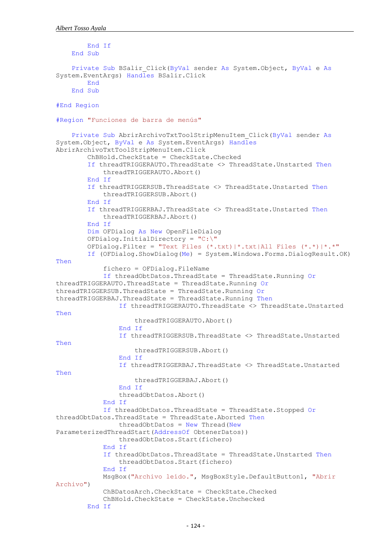```
 End If
     End Sub
     Private Sub BSalir_Click(ByVal sender As System.Object, ByVal e As
System.EventArgs) Handles BSalir.Click
         End
     End Sub
#End Region
#Region "Funciones de barra de menús"
     Private Sub AbrirArchivoTxtToolStripMenuItem_Click(ByVal sender As
System.Object, ByVal e As System.EventArgs) Handles
AbrirArchivoTxtToolStripMenuItem.Click
         ChBHold.CheckState = CheckState.Checked
         If threadTRIGGERAUTO.ThreadState <> ThreadState.Unstarted Then
             threadTRIGGERAUTO.Abort()
         End If
         If threadTRIGGERSUB.ThreadState <> ThreadState.Unstarted Then
             threadTRIGGERSUB.Abort()
         End If
         If threadTRIGGERBAJ.ThreadState <> ThreadState.Unstarted Then
             threadTRIGGERBAJ.Abort()
         End If
         Dim OFDialog As New OpenFileDialog
         OFDialog.InitialDirectory = "C:\"
         OFDialog.Filter = "Text Files (*.txt)|*.txt|All Files (*.*)|*.*"
         If (OFDialog.ShowDialog(Me) = System.Windows.Forms.DialogResult.OK) 
Then
             fichero = OFDialog.FileName
             If threadObtDatos.ThreadState = ThreadState.Running Or
threadTRIGGERAUTO.ThreadState = ThreadState.Running Or
threadTRIGGERSUB.ThreadState = ThreadState.Running Or
threadTRIGGERBAJ.ThreadState = ThreadState.Running Then
                 If threadTRIGGERAUTO.ThreadState <> ThreadState.Unstarted 
Then
                     threadTRIGGERAUTO.Abort()
                 End If
                 If threadTRIGGERSUB.ThreadState <> ThreadState.Unstarted 
Then
                     threadTRIGGERSUB.Abort()
                 End If
                 If threadTRIGGERBAJ.ThreadState <> ThreadState.Unstarted 
Then
                     threadTRIGGERBAJ.Abort()
                 End If
                 threadObtDatos.Abort()
             End If
             If threadObtDatos.ThreadState = ThreadState.Stopped Or
threadObtDatos.ThreadState = ThreadState.Aborted Then
                threadObtDatos = New Thread(New)ParameterizedThreadStart(AddressOf ObtenerDatos))
                 threadObtDatos.Start(fichero)
             End If
             If threadObtDatos.ThreadState = ThreadState.Unstarted Then
                 threadObtDatos.Start(fichero)
             End If
             MsgBox("Archivo leído.", MsgBoxStyle.DefaultButton1, "Abrir 
Archivo")
             ChBDatosArch.CheckState = CheckState.Checked
             ChBHold.CheckState = CheckState.Unchecked
         End If
```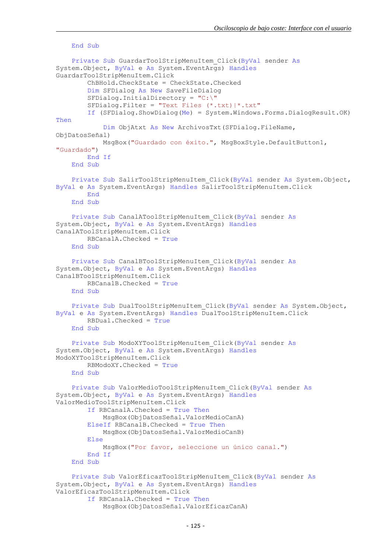```
 End Sub
     Private Sub GuardarToolStripMenuItem_Click(ByVal sender As
System.Object, ByVal e As System.EventArgs) Handles
GuardarToolStripMenuItem.Click
         ChBHold.CheckState = CheckState.Checked
         Dim SFDialog As New SaveFileDialog
         SFDialog.InitialDirectory = "C:\"
         SFDialog.Filter = "Text Files (*.txt)|*.txt"
         If (SFDialog.ShowDialog(Me) = System.Windows.Forms.DialogResult.OK) 
Then
             Dim ObjAtxt As New ArchivosTxt(SFDialog.FileName, 
ObjDatosSeñal)
             MsgBox("Guardado con éxito.", MsgBoxStyle.DefaultButton1, 
"Guardado")
         End If
     End Sub
     Private Sub SalirToolStripMenuItem_Click(ByVal sender As System.Object, 
ByVal e As System.EventArgs) Handles SalirToolStripMenuItem.Click
         End
     End Sub
     Private Sub CanalAToolStripMenuItem_Click(ByVal sender As
System.Object, ByVal e As System.EventArgs) Handles
CanalAToolStripMenuItem.Click
         RBCanalA.Checked = True
     End Sub
     Private Sub CanalBToolStripMenuItem_Click(ByVal sender As
System.Object, ByVal e As System.EventArgs) Handles
CanalBToolStripMenuItem.Click
         RBCanalB.Checked = True
     End Sub
     Private Sub DualToolStripMenuItem_Click(ByVal sender As System.Object, 
ByVal e As System.EventArgs) Handles DualToolStripMenuItem.Click
         RBDual.Checked = True
     End Sub
     Private Sub ModoXYToolStripMenuItem_Click(ByVal sender As
System.Object, ByVal e As System.EventArgs) Handles
ModoXYToolStripMenuItem.Click
         RBModoXY.Checked = True
     End Sub
     Private Sub ValorMedioToolStripMenuItem_Click(ByVal sender As
System.Object, ByVal e As System.EventArgs) Handles
ValorMedioToolStripMenuItem.Click
         If RBCanalA.Checked = True Then
             MsgBox(ObjDatosSeñal.ValorMedioCanA)
         ElseIf RBCanalB.Checked = True Then
             MsgBox(ObjDatosSeñal.ValorMedioCanB)
         Else
             MsgBox("Por favor, seleccione un único canal.")
         End If
     End Sub
     Private Sub ValorEficazToolStripMenuItem_Click(ByVal sender As
System.Object, ByVal e As System.EventArgs) Handles
ValorEficazToolStripMenuItem.Click
         If RBCanalA.Checked = True Then
             MsgBox(ObjDatosSeñal.ValorEficazCanA)
```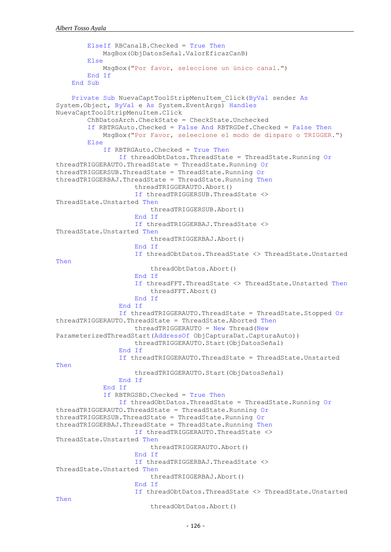```
 ElseIf RBCanalB.Checked = True Then
             MsgBox(ObjDatosSeñal.ValorEficazCanB)
         Else
             MsgBox("Por favor, seleccione un único canal.")
         End If
     End Sub
     Private Sub NuevaCaptToolStripMenuItem_Click(ByVal sender As
System.Object, ByVal e As System.EventArgs) Handles
NuevaCaptToolStripMenuItem.Click
         ChBDatosArch.CheckState = CheckState.Unchecked
         If RBTRGAuto.Checked = False And RBTRGDef.Checked = False Then
             MsgBox("Por Favor, seleecione el modo de disparo o TRIGGER.")
         Else
             If RBTRGAuto.Checked = True Then
                 If threadObtDatos.ThreadState = ThreadState.Running Or
threadTRIGGERAUTO.ThreadState = ThreadState.Running Or
threadTRIGGERSUB.ThreadState = ThreadState.Running Or
threadTRIGGERBAJ.ThreadState = ThreadState.Running Then
                     threadTRIGGERAUTO.Abort()
                    If threadTRIGGERSUB.ThreadState <> 
ThreadState.Unstarted Then
                          threadTRIGGERSUB.Abort()
                     End If
                    If threadTRIGGERBAJ.ThreadState <> 
ThreadState.Unstarted Then
                          threadTRIGGERBAJ.Abort()
                     End If
                    If threadObtDatos.ThreadState <> ThreadState.Unstarted 
Then
                          threadObtDatos.Abort()
                     End If
                     If threadFFT.ThreadState <> ThreadState.Unstarted Then
                          threadFFT.Abort()
                     End If
                 End If
                 If threadTRIGGERAUTO.ThreadState = ThreadState.Stopped Or
threadTRIGGERAUTO.ThreadState = ThreadState.Aborted Then
                     threadTRIGGERAUTO = New Thread(New
ParameterizedThreadStart(AddressOf ObjCapturaDat.CapturaAuto))
                     threadTRIGGERAUTO.Start(ObjDatosSeñal)
                 End If
                 If threadTRIGGERAUTO.ThreadState = ThreadState.Unstarted 
Then
                      threadTRIGGERAUTO.Start(ObjDatosSeñal)
                 End If
             End If
             If RBTRGSBD.Checked = True Then
                 If threadObtDatos.ThreadState = ThreadState.Running Or
threadTRIGGERAUTO.ThreadState = ThreadState.Running Or
threadTRIGGERSUB.ThreadState = ThreadState.Running Or
threadTRIGGERBAJ.ThreadState = ThreadState.Running Then
                     If threadTRIGGERAUTO.ThreadState <> 
ThreadState.Unstarted Then
                          threadTRIGGERAUTO.Abort()
                     End If
                     If threadTRIGGERBAJ.ThreadState <> 
ThreadState.Unstarted Then
                          threadTRIGGERBAJ.Abort()
                     End If
                    If threadObtDatos.ThreadState <> ThreadState.Unstarted 
Then
                          threadObtDatos.Abort()
```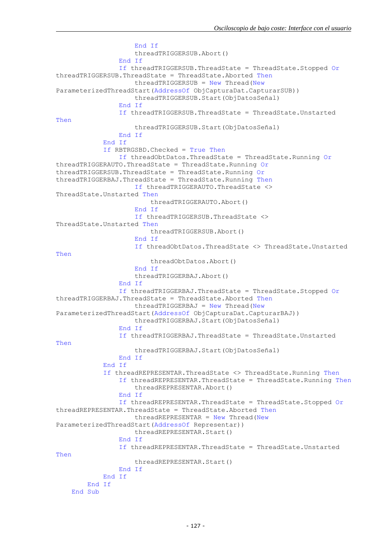```
 End If
                    threadTRIGGERSUB.Abort()
                 End If
                 If threadTRIGGERSUB.ThreadState = ThreadState.Stopped Or
threadTRIGGERSUB.ThreadState = ThreadState.Aborted Then
                     threadTRIGGERSUB = New Thread(New
ParameterizedThreadStart(AddressOf ObjCapturaDat.CapturarSUB))
                     threadTRIGGERSUB.Start(ObjDatosSeñal)
                 End If
                 If threadTRIGGERSUB.ThreadState = ThreadState.Unstarted 
Then
                     threadTRIGGERSUB.Start(ObjDatosSeñal)
                 End If
             End If
             If RBTRGSBD.Checked = True Then
                 If threadObtDatos.ThreadState = ThreadState.Running Or
threadTRIGGERAUTO.ThreadState = ThreadState.Running Or
threadTRIGGERSUB.ThreadState = ThreadState.Running Or
threadTRIGGERBAJ.ThreadState = ThreadState.Running Then
                     If threadTRIGGERAUTO.ThreadState <>
ThreadState.Unstarted Then
                         threadTRIGGERAUTO.Abort()
                     End If
                    If threadTRIGGERSUB.ThreadState <>
ThreadState.Unstarted Then
                         threadTRIGGERSUB.Abort()
                     End If
                    If threadObtDatos.ThreadState <> ThreadState.Unstarted 
Then
                          threadObtDatos.Abort()
                     End If
                    threadTRIGGERBAJ.Abort()
                 End If
                 If threadTRIGGERBAJ.ThreadState = ThreadState.Stopped Or
threadTRIGGERBAJ.ThreadState = ThreadState.Aborted Then
                     threadTRIGGERBAJ = New Thread(New
ParameterizedThreadStart(AddressOf ObjCapturaDat.CapturarBAJ))
                     threadTRIGGERBAJ.Start(ObjDatosSeñal)
                 End If
                 If threadTRIGGERBAJ.ThreadState = ThreadState.Unstarted 
Then
                     threadTRIGGERBAJ.Start(ObjDatosSeñal)
                 End If
             End If
             If threadREPRESENTAR.ThreadState <> ThreadState.Running Then
                 If threadREPRESENTAR.ThreadState = ThreadState.Running Then
                     threadREPRESENTAR.Abort()
                 End If
                 If threadREPRESENTAR.ThreadState = ThreadState.Stopped Or
threadREPRESENTAR.ThreadState = ThreadState.Aborted Then
                    threedREPRESENTAR = New Thread(New)ParameterizedThreadStart(AddressOf Representar))
                     threadREPRESENTAR.Start()
                 End If
                 If threadREPRESENTAR.ThreadState = ThreadState.Unstarted 
Then
                     threadREPRESENTAR.Start()
                 End If
             End If
         End If
     End Sub
```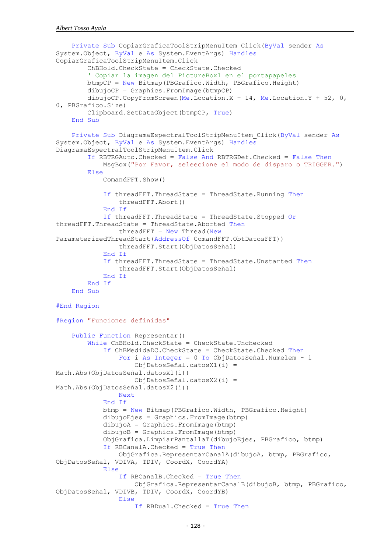```
 Private Sub CopiarGraficaToolStripMenuItem_Click(ByVal sender As
System.Object, ByVal e As System.EventArgs) Handles
CopiarGraficaToolStripMenuItem.Click
         ChBHold.CheckState = CheckState.Checked
         ' Copiar la imagen del PictureBox1 en el portapapeles
         btmpCP = New Bitmap(PBGrafico.Width, PBGrafico.Height)
         dibujoCP = Graphics.FromImage(btmpCP)
         dibujoCP.CopyFromScreen(Me.Location.X + 14, Me.Location.Y + 52, 0, 
0, PBGrafico.Size)
         Clipboard.SetDataObject(btmpCP, True)
     End Sub
     Private Sub DiagramaEspectralToolStripMenuItem_Click(ByVal sender As
System.Object, ByVal e As System.EventArgs) Handles
DiagramaEspectralToolStripMenuItem.Click
         If RBTRGAuto.Checked = False And RBTRGDef.Checked = False Then
             MsgBox("Por Favor, seleecione el modo de disparo o TRIGGER.")
         Else
             ComandFFT.Show()
             If threadFFT.ThreadState = ThreadState.Running Then
                 threadFFT.Abort()
             End If
             If threadFFT.ThreadState = ThreadState.Stopped Or
threadFFT.ThreadState = ThreadState.Aborted Then
                threedFFT = New Thread(New)ParameterizedThreadStart(AddressOf ComandFFT.ObtDatosFFT))
                 threadFFT.Start(ObjDatosSeñal)
             End If
             If threadFFT.ThreadState = ThreadState.Unstarted Then
                 threadFFT.Start(ObjDatosSeñal)
             End If
         End If
     End Sub
#End Region
#Region "Funciones definidas"
     Public Function Representar()
         While ChBHold.CheckState = CheckState.Unchecked
             If ChBMedidaDC.CheckState = CheckState.Checked Then
                 For i As Integer = 0 To ObjDatosSeñal.Numelem - 1
                     ObjDatosSeñal.datosX1(i) = 
Math.Abs(ObjDatosSeñal.datosX1(i))
                     ObjDatosSeñal.datosX2(i) = 
Math.Abs(ObjDatosSeñal.datosX2(i))
                 Next
             End If
             btmp = New Bitmap(PBGrafico.Width, PBGrafico.Height)
             dibujoEjes = Graphics.FromImage(btmp)
             dibujoA = Graphics.FromImage(btmp)
             dibujoB = Graphics.FromImage(btmp)
             ObjGrafica.LimpiarPantallaT(dibujoEjes, PBGrafico, btmp)
             If RBCanalA.Checked = True Then
                 ObjGrafica.RepresentarCanalA(dibujoA, btmp, PBGrafico, 
ObjDatosSeñal, VDIVA, TDIV, CoordX, CoordYA)
             Else
                 If RBCanalB.Checked = True Then
                     ObjGrafica.RepresentarCanalB(dibujoB, btmp, PBGrafico, 
ObjDatosSeñal, VDIVB, TDIV, CoordX, CoordYB)
                 Else
                     If RBDual.Checked = True Then
```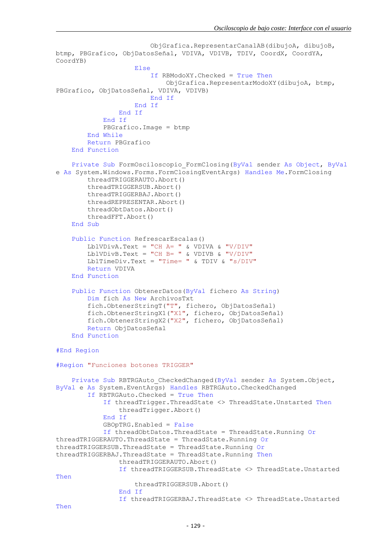```
 ObjGrafica.RepresentarCanalAB(dibujoA, dibujoB, 
btmp, PBGrafico, ObjDatosSeñal, VDIVA, VDIVB, TDIV, CoordX, CoordYA,
CoordYB)
                      Else
                          If RBModoXY.Checked = True Then
                              ObjGrafica.RepresentarModoXY(dibujoA, btmp, 
PBGrafico, ObjDatosSeñal, VDIVA, VDIVB)
                          End If
                      End If
                 End If
             End If
             PBGrafico.Image = btmp
         End While
         Return PBGrafico
     End Function
     Private Sub FormOsciloscopio_FormClosing(ByVal sender As Object, ByVal
e As System.Windows.Forms.FormClosingEventArgs) Handles Me.FormClosing
         threadTRIGGERAUTO.Abort()
         threadTRIGGERSUB.Abort()
         threadTRIGGERBAJ.Abort()
         threadREPRESENTAR.Abort()
         threadObtDatos.Abort()
         threadFFT.Abort()
     End Sub
     Public Function RefrescarEscalas()
        LblVDivA.Text = "CH A = " & VDIVA & "V/DIV"
         LblVDivB.Text = "CH B= " & VDIVB & "V/DIV"
        LblTimeDiv.Text = "Time= " \& TDIV \& "s/DIV"
         Return VDIVA
     End Function
     Public Function ObtenerDatos(ByVal fichero As String)
         Dim fich As New ArchivosTxt
         fich.ObtenerStringT("T", fichero, ObjDatosSeñal)
         fich.ObtenerStringX1("X1", fichero, ObjDatosSeñal)
         fich.ObtenerStringX2("X2", fichero, ObjDatosSeñal)
         Return ObjDatosSeñal
     End Function
#End Region
#Region "Funciones botones TRIGGER"
     Private Sub RBTRGAuto_CheckedChanged(ByVal sender As System.Object, 
ByVal e As System.EventArgs) Handles RBTRGAuto.CheckedChanged
         If RBTRGAuto.Checked = True Then
             If threadTrigger.ThreadState <> ThreadState.Unstarted Then
                 threadTrigger.Abort()
             End If
             GBOpTRG.Enabled = False
             If threadObtDatos.ThreadState = ThreadState.Running Or
threadTRIGGERAUTO.ThreadState = ThreadState.Running Or
threadTRIGGERSUB.ThreadState = ThreadState.Running Or
threadTRIGGERBAJ.ThreadState = ThreadState.Running Then
                 threadTRIGGERAUTO.Abort()
                 If threadTRIGGERSUB.ThreadState <> ThreadState.Unstarted 
Then
                      threadTRIGGERSUB.Abort()
                 End If
                 If threadTRIGGERBAJ.ThreadState <> ThreadState.Unstarted 
Then
```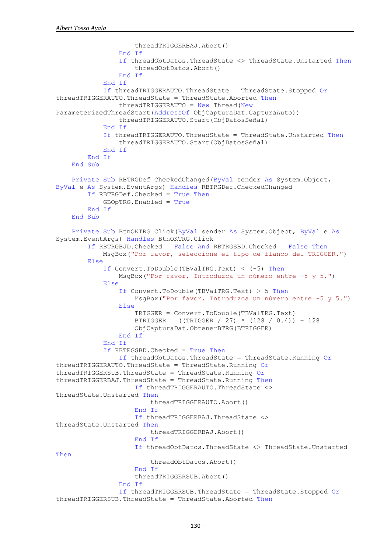```
 threadTRIGGERBAJ.Abort()
                 End If
                 If threadObtDatos.ThreadState <> ThreadState.Unstarted Then
                     threadObtDatos.Abort()
                 End If
             End If
             If threadTRIGGERAUTO.ThreadState = ThreadState.Stopped Or
threadTRIGGERAUTO.ThreadState = ThreadState.Aborted Then
                 threadTRIGGERAUTO = New Thread(New
ParameterizedThreadStart(AddressOf ObjCapturaDat.CapturaAuto))
                 threadTRIGGERAUTO.Start(ObjDatosSeñal)
             End If
             If threadTRIGGERAUTO.ThreadState = ThreadState.Unstarted Then
                 threadTRIGGERAUTO.Start(ObjDatosSeñal)
             End If
         End If
     End Sub
     Private Sub RBTRGDef_CheckedChanged(ByVal sender As System.Object, 
ByVal e As System.EventArgs) Handles RBTRGDef.CheckedChanged
         If RBTRGDef.Checked = True Then
             GBOpTRG.Enabled = True
         End If
     End Sub
     Private Sub BtnOKTRG_Click(ByVal sender As System.Object, ByVal e As
System.EventArgs) Handles BtnOKTRG.Click
         If RBTRGBJD.Checked = False And RBTRGSBD.Checked = False Then
             MsgBox("Por favor, seleccione el tipo de flanco del TRIGGER.")
         Else
             If Convert.ToDouble(TBValTRG.Text) < (-5) Then
                 MsgBox("Por favor, Introduzca un número entre -5 y 5.")
             Else
                 If Convert.ToDouble(TBValTRG.Text) > 5 Then
                    MsgBox("Por favor, Introduzca un número entre -5 y 5.")
                 Else
                     TRIGGER = Convert.ToDouble(TBValTRG.Text)
                    BTRIGGER = ((TRIGGER / 27) * (128 / 0.4)) + 128
                    ObjCapturaDat.ObtenerBTRG(BTRIGGER)
                 End If
             End If
             If RBTRGSBD.Checked = True Then
                 If threadObtDatos.ThreadState = ThreadState.Running Or
threadTRIGGERAUTO.ThreadState = ThreadState.Running Or
threadTRIGGERSUB.ThreadState = ThreadState.Running Or
threadTRIGGERBAJ.ThreadState = ThreadState.Running Then
                     If threadTRIGGERAUTO.ThreadState <> 
ThreadState.Unstarted Then
                         threadTRIGGERAUTO.Abort()
                     End If
                    If threadTRIGGERBAJ.ThreadState <>
ThreadState.Unstarted Then
                         threadTRIGGERBAJ.Abort()
                     End If
                    If threadObtDatos.ThreadState <> ThreadState.Unstarted 
Then
                         threadObtDatos.Abort()
                     End If
                    threadTRIGGERSUB.Abort()
                 End If
                 If threadTRIGGERSUB.ThreadState = ThreadState.Stopped Or
threadTRIGGERSUB.ThreadState = ThreadState.Aborted Then
```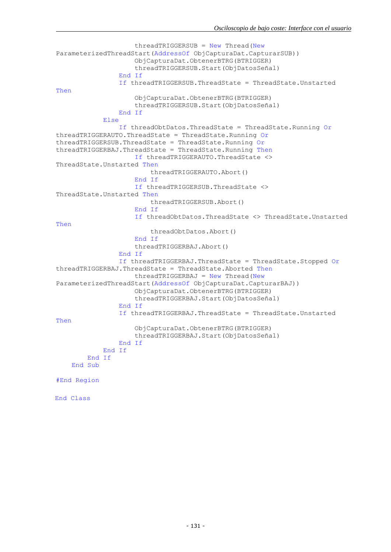```
threadTRIGGERSUB = New Thread(New)ParameterizedThreadStart(AddressOf ObjCapturaDat.CapturarSUB))
                      ObjCapturaDat.ObtenerBTRG(BTRIGGER)
                     threadTRIGGERSUB.Start(ObjDatosSeñal)
                 End If
                 If threadTRIGGERSUB.ThreadState = ThreadState.Unstarted 
Then
                      ObjCapturaDat.ObtenerBTRG(BTRIGGER)
                     threadTRIGGERSUB.Start(ObjDatosSeñal)
                 End If
             Else
                 If threadObtDatos.ThreadState = ThreadState.Running Or
threadTRIGGERAUTO.ThreadState = ThreadState.Running Or
threadTRIGGERSUB.ThreadState = ThreadState.Running Or
threadTRIGGERBAJ.ThreadState = ThreadState.Running Then
                     If threadTRIGGERAUTO.ThreadState <>
ThreadState.Unstarted Then
                          threadTRIGGERAUTO.Abort()
                      End If
                     If threadTRIGGERSUB.ThreadState <> 
ThreadState.Unstarted Then
                          threadTRIGGERSUB.Abort()
                      End If
                     If threadObtDatos.ThreadState <> ThreadState.Unstarted 
Then
                          threadObtDatos.Abort()
                      End If
                     threadTRIGGERBAJ.Abort()
                 End If
                 If threadTRIGGERBAJ.ThreadState = ThreadState.Stopped Or
threadTRIGGERBAJ.ThreadState = ThreadState.Aborted Then
                      threadTRIGGERBAJ = New Thread(New
ParameterizedThreadStart(AddressOf ObjCapturaDat.CapturarBAJ))
                      ObjCapturaDat.ObtenerBTRG(BTRIGGER)
                     threadTRIGGERBAJ.Start(ObjDatosSeñal)
                 End If
                 If threadTRIGGERBAJ.ThreadState = ThreadState.Unstarted 
Then
                      ObjCapturaDat.ObtenerBTRG(BTRIGGER)
                     threadTRIGGERBAJ.Start(ObjDatosSeñal)
                 End If
             End If
         End If
     End Sub
#End Region
End Class
```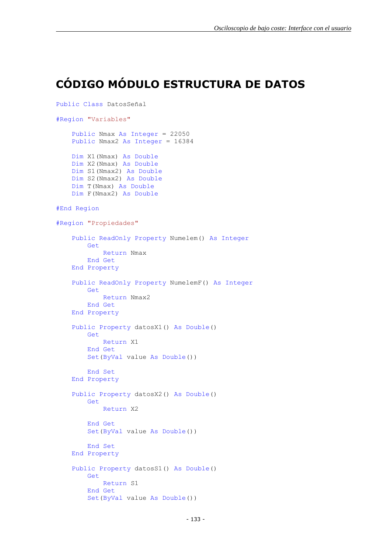#### <span id="page-28-0"></span>**CÓDIGO MÓDULO ESTRUCTURA DE DATOS**

```
Public Class DatosSeñal
#Region "Variables"
     Public Nmax As Integer = 22050
     Public Nmax2 As Integer = 16384
     Dim X1(Nmax) As Double
     Dim X2(Nmax) As Double
     Dim S1(Nmax2) As Double
     Dim S2(Nmax2) As Double
     Dim T(Nmax) As Double
     Dim F(Nmax2) As Double
#End Region
#Region "Propiedades"
     Public ReadOnly Property Numelem() As Integer
         Get
             Return Nmax
         End Get
     End Property
     Public ReadOnly Property NumelemF() As Integer
         Get
             Return Nmax2
         End Get
     End Property
     Public Property datosX1() As Double()
         Get
             Return X1
         End Get
         Set(ByVal value As Double())
         End Set
     End Property
     Public Property datosX2() As Double()
         Get
             Return X2
         End Get
         Set(ByVal value As Double())
         End Set
     End Property
     Public Property datosS1() As Double()
         Get
             Return S1
         End Get
         Set(ByVal value As Double())
```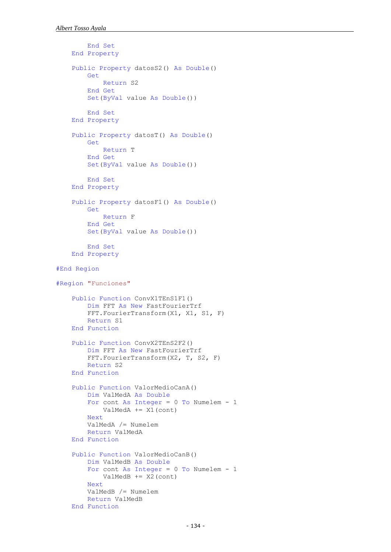```
 End Set
     End Property
     Public Property datosS2() As Double()
         Get
             Return S2
         End Get
         Set(ByVal value As Double())
         End Set
    End Property
    Public Property datosT() As Double()
         Get
             Return T
         End Get
         Set(ByVal value As Double())
         End Set
     End Property
     Public Property datosF1() As Double()
         Get
             Return F
         End Get
         Set(ByVal value As Double())
         End Set
     End Property
#End Region
#Region "Funciones"
     Public Function ConvX1TEnS1F1()
         Dim FFT As New FastFourierTrf
        FFT. FourierTransform(X1, X1, S1, F)
         Return S1
     End Function
     Public Function ConvX2TEnS2F2()
         Dim FFT As New FastFourierTrf
         FFT.FourierTransform(X2, T, S2, F)
         Return S2
     End Function
     Public Function ValorMedioCanA()
         Dim ValMedA As Double
        For cont As Integer = 0 To Numelem - 1
             ValMedA += X1(cont)
         Next
         ValMedA /= Numelem
         Return ValMedA
     End Function
     Public Function ValorMedioCanB()
         Dim ValMedB As Double
        For cont As Integer = 0 To Numelem - 1
             ValMedB += X2(cont)
         Next
         ValMedB /= Numelem
         Return ValMedB
     End Function
```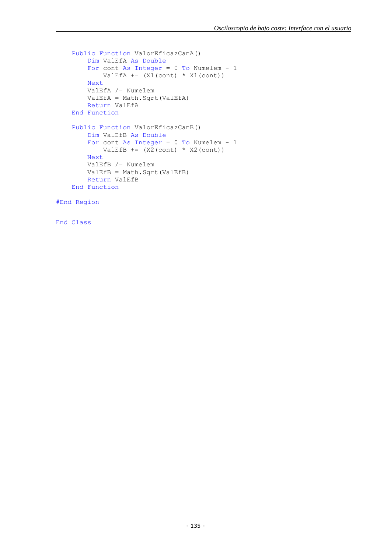```
 Public Function ValorEficazCanA()
     Dim ValEfA As Double
    For cont As Integer = 0 To Numelem - 1
        ValEfA += (X1 (cont) * X1 (cont)) Next
     ValEfA /= Numelem
     ValEfA = Math.Sqrt(ValEfA)
     Return ValEfA
 End Function
 Public Function ValorEficazCanB()
     Dim ValEfB As Double
    For cont As Integer = 0 To Numelem - 1
        ValEfB += (X2 (cont) * X2 (cont)) Next
     ValEfB /= Numelem
     ValEfB = Math.Sqrt(ValEfB)
     Return ValEfB
 End Function
```
#End Region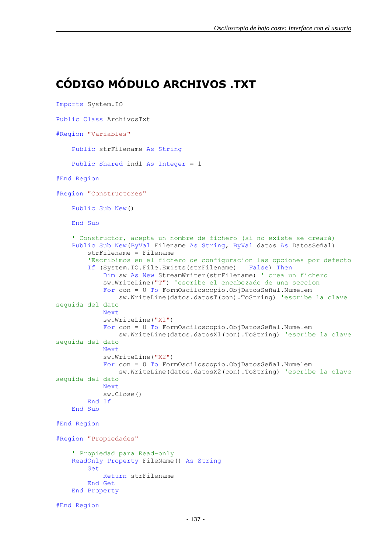### <span id="page-32-0"></span>**CÓDIGO MÓDULO ARCHIVOS .TXT**

```
Imports System.IO
Public Class ArchivosTxt
#Region "Variables"
     Public strFilename As String
     Public Shared ind1 As Integer = 1
#End Region
#Region "Constructores"
     Public Sub New()
    End Sub
     ' Constructor, acepta un nombre de fichero (si no existe se creará)
     Public Sub New(ByVal Filename As String, ByVal datos As DatosSeñal)
         strFilename = Filename
         'Escribimos en el fichero de configuracion las opciones por defecto
         If (System.IO.File.Exists(strFilename) = False) Then
             Dim sw As New StreamWriter(strFilename) ' crea un fichero
             sw.WriteLine("T") 'escribe el encabezado de una seccion
             For con = 0 To FormOsciloscopio.ObjDatosSeñal.Numelem
                 sw.WriteLine(datos.datosT(con).ToString) 'escribe la clave 
seguida del dato
             Next
             sw.WriteLine("X1")
             For con = 0 To FormOsciloscopio.ObjDatosSeñal.Numelem
                 sw.WriteLine(datos.datosX1(con).ToString) 'escribe la clave 
seguida del dato
             Next
             sw.WriteLine("X2")
             For con = 0 To FormOsciloscopio.ObjDatosSeñal.Numelem
                 sw.WriteLine(datos.datosX2(con).ToString) 'escribe la clave 
seguida del dato
             Next
             sw.Close()
         End If
    End Sub
#End Region
#Region "Propiedades"
     ' Propiedad para Read-only
     ReadOnly Property FileName() As String
         Get
             Return strFilename
         End Get
     End Property
```

```
#End Region
```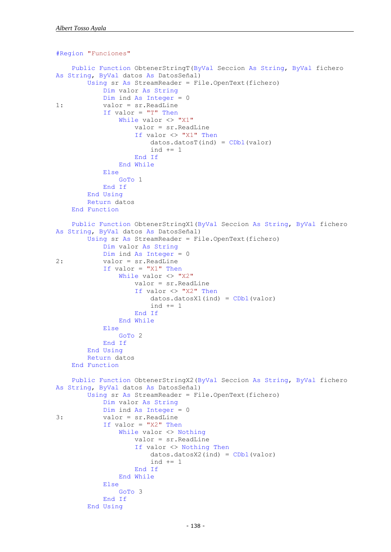```
#Region "Funciones"
     Public Function ObtenerStringT(ByVal Seccion As String, ByVal fichero 
As String, ByVal datos As DatosSeñal)
         Using sr As StreamReader = File.OpenText(fichero)
             Dim valor As String
            Dim ind As Integer = 01: valor = sr.ReadLine
            If valor = "T" Then
                While valor \langle \rangle "X1"
                     valor = sr.ReadLine
                    If valor <> "X1" Then
                         datos.datosT(ind) = CDb1(valor)ind += 1 End If
                 End While
             Else
                 GoTo 1
             End If
         End Using
         Return datos
     End Function
     Public Function ObtenerStringX1(ByVal Seccion As String, ByVal fichero 
As String, ByVal datos As DatosSeñal)
         Using sr As StreamReader = File.OpenText(fichero)
             Dim valor As String
             Dim ind As Integer = 0
2: valor = sr.ReadLine
             If valor = "X1" Then
                While valor <> "X2"
                     valor = sr.ReadLine
                    If valor <> "X2" Then
                         datos.datosX1(int) = CDbl(valor)ind += 1 End If
                 End While
             Else
                 GoTo 2
             End If
         End Using
         Return datos
     End Function
     Public Function ObtenerStringX2(ByVal Seccion As String, ByVal fichero 
As String, ByVal datos As DatosSeñal)
         Using sr As StreamReader = File.OpenText(fichero)
             Dim valor As String
             Dim ind As Integer = 0
3: valor = sr.ReadLine
             If valor = "X2" Then
                 While valor <> Nothing
                     valor = sr.ReadLine
                    If valor <> Nothing Then
                         datos.datosX2(ind) = CDb1(valor)ind += 1 End If
                 End While
             Else
                 GoTo 3
             End If
         End Using
```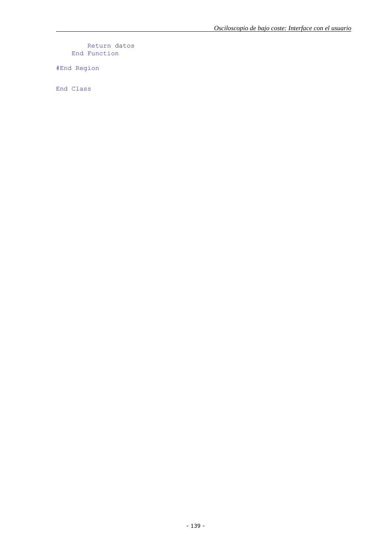Return datos End Function

#End Region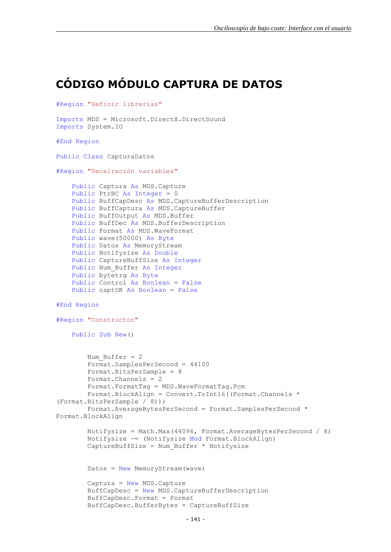# <span id="page-36-0"></span>**CÓDIGO MÓDULO CAPTURA DE DATOS**

```
#Region "Definir librerías"
Imports MDS = Microsoft.DirectX.DirectSound
Imports System.IO
#End Region
Public Class CapturaDatos
#Region "Decalración variables"
     Public Captura As MDS.Capture
     Public PtrBC As Integer = 0
     Public BuffCapDesc As MDS.CaptureBufferDescription
     Public BuffCaptura As MDS.CaptureBuffer
    Public BuffOutput As MDS. Buffer
     Public BuffDec As MDS.BufferDescription
     Public Format As MDS.WaveFormat
    Public wave(50000) As Byte
     Public Datos As MemoryStream
     Public Notifysize As Double
     Public CaptureBuffSize As Integer
    Public Num Buffer As Integer
     Public bytetrg As Byte
     Public Control As Boolean = False
     Public captOK As Boolean = False
#End Region
#Region "Constructor"
     Public Sub New()
        Num Buffer = 2 Format.SamplesPerSecond = 44100
         Format.BitsPerSample = 8
         Format.Channels = 2
         Format.FormatTag = MDS.WaveFormatTag.Pcm
         Format.BlockAlign = Convert.ToInt16((Format.Channels * 
(Format.BitsPerSample / 8)))
         Format.AverageBytesPerSecond = Format.SamplesPerSecond * 
Format.BlockAlign
         Notifysize = Math.Max(44096, Format.AverageBytesPerSecond / 8)
         Notifysize -= (Notifysize Mod Format.BlockAlign)
        CaptureBuffer \neq \text{Num} Buffer * Notifysize
         Datos = New MemoryStream(wave)
         Captura = New MDS.Capture
         BuffCapDesc = New MDS.CaptureBufferDescription
         BuffCapDesc.Format = Format
         BuffCapDesc.BufferBytes = CaptureBuffSize
```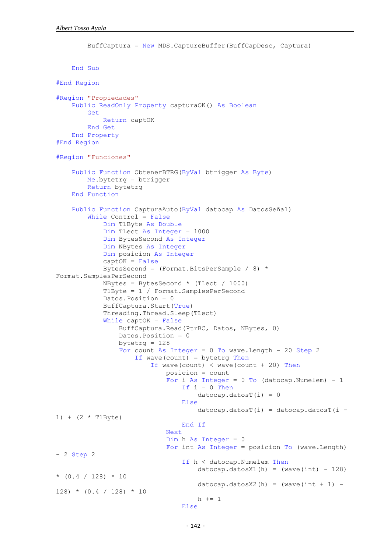```
 BuffCaptura = New MDS.CaptureBuffer(BuffCapDesc, Captura)
    End Sub
#End Region
#Region "Propiedades"
     Public ReadOnly Property capturaOK() As Boolean
         Get
             Return captOK
         End Get
     End Property
#End Region
#Region "Funciones"
     Public Function ObtenerBTRG(ByVal btrigger As Byte)
         Me.bytetrg = btrigger
         Return bytetrg
     End Function
     Public Function CapturaAuto(ByVal datocap As DatosSeñal)
         While Control = False
             Dim T1Byte As Double
             Dim TLect As Integer = 1000
             Dim BytesSecond As Integer
             Dim NBytes As Integer
             Dim posicion As Integer
            captOK = False BytesSecond = (Format.BitsPerSample / 8) * 
Format.SamplesPerSecond
            NBytes = BytesSecond * (TLect / 1000)
             T1Byte = 1 / Format.SamplesPerSecond
             Datos.Position = 0
             BuffCaptura.Start(True)
             Threading.Thread.Sleep(TLect)
             While captOK = False
                 BuffCaptura.Read(PtrBC, Datos, NBytes, 0)
                 Datos.Position = 0
                bytetrg = 128For count As Integer = 0 To wave. Length - 20 Step 2
                     If wave(count) = bytetrg Then
                        If wave(count) \langle wave(count + 20) Then
                             posicion = count
                            For i As Integer = 0 To (datocap. Numelem) - 1
                                If i = 0 Then
                                    dotocap.datacost(i) = 0Else
                                    dotocap.dataest(i) = datacap.dataest(i -1) + (2 * T1Byte) End If
                             Next
                            Dim h As Integer = 0For int As Integer = posicion To (wave. Length)
- 2 Step 2
                                 If h < datocap.Numelem Then
                                    datocap.datosX1(h) = (wave(int) - 128)*(0.4 / 128) * 10datocap.datosX2(h) = wave(int + 1) -
128) * (0.4 / 128) * 10
                                    h += 1
                                 Else
```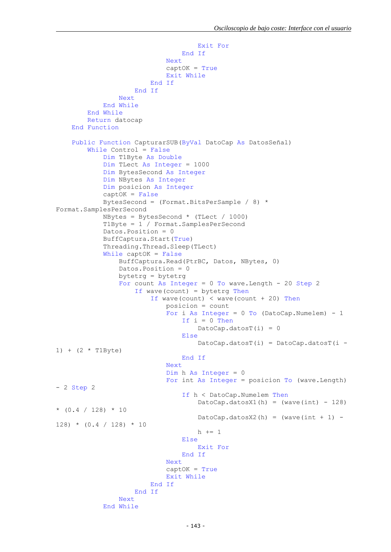```
 Exit For
                                      End If
                                  Next
                                 captOK = TrueExit While
                             End If
                        End If
                   Next
               End While
          End While
          Return datocap
     End Function
     Public Function CapturarSUB(ByVal DatoCap As DatosSeñal)
          While Control = False
               Dim T1Byte As Double
               Dim TLect As Integer = 1000
               Dim BytesSecond As Integer
               Dim NBytes As Integer
               Dim posicion As Integer
               captOK = False
               BytesSecond = (Format.BitsPerSample / 8) * 
Format.SamplesPerSecond
              NBytes = BytesSecond * (TLect / 1000)
               T1Byte = 1 / Format.SamplesPerSecond
               Datos.Position = 0
               BuffCaptura.Start(True)
               Threading.Thread.Sleep(TLect)
               While captOK = False
                   BuffCaptura.Read(PtrBC, Datos, NBytes, 0)
                   Datos.Position = 0
                   bytetrg = bytetrg
                  For count As Integer = 0 To wave. Length - 20 Step 2
                       If wave(count) = bytetrg Then
                            If wave(count) < wave(count + 20) Then
                                  posicion = count
                                 For i As Integer = 0 To (DatoCap. Numelem) - 1
                                     If i = 0 Then
                                          DatoCap.datosT(i) = 0 Else
                                          Datocap.dataosT(i) = Datocap.dataosT(i -1) + (2 * T1Byte) End If
Next and the state of the state of the state of the state of the state of the state of the state of the state of the state of the state of the state of the state of the state of the state of the state of the state of the s
                                 Dim h As Integer = 0 For int As Integer = posicion To (wave.Length) 
- 2 Step 2
                                      If h < DatoCap.Numelem Then
                                          DatoCap.datosX1(h) = (wave(int) - 128)*(0.4 / 128) * 10DatoCap.datosX2(h) = (wave(int + 1) -
128) * (0.4 / 128) * 10
                                          h += 1
Else
                                           Exit For
                                      End If
                                  Next
                                 captOK = TrueExit While
                             End If
                        End If
                   Next
               End While
```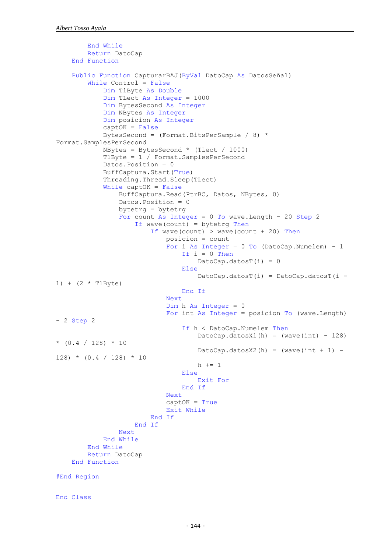```
 End While
         Return DatoCap
     End Function
     Public Function CapturarBAJ(ByVal DatoCap As DatosSeñal)
         While Control = False
             Dim T1Byte As Double
             Dim TLect As Integer = 1000
             Dim BytesSecond As Integer
             Dim NBytes As Integer
             Dim posicion As Integer
            captOK = False
             BytesSecond = (Format.BitsPerSample / 8) * 
Format.SamplesPerSecond
             NBytes = BytesSecond * (TLect / 1000)
             T1Byte = 1 / Format.SamplesPerSecond
             Datos.Position = 0
             BuffCaptura.Start(True)
             Threading.Thread.Sleep(TLect)
             While captOK = False
                 BuffCaptura.Read(PtrBC, Datos, NBytes, 0)
                 Datos.Position = 0
                 bytetrg = bytetrg
                For count As Integer = 0 To wave. Length - 20 Step 2
                     If wave(count) = bytetrg Then
                         If wave(count) > wave(count + 20) Then
                              posicion = count
                             For i As Integer = 0 To (DatoCap. Numelem) - 1
                                 If i = 0 Then
                                      DatoCap.datosT(i) = 0 Else
                                      DatoCap.datosT(i) = DatoCap.datosT(i -
1) + (2 * T1Byte) End If
                              Next
                             Dim h As Integer = 0 For int As Integer = posicion To (wave.Length) 
- 2 Step 2
                                  If h < DatoCap.Numelem Then
                                     DatoCap.datosX1(h) = (wave(int) - 128)* (0.4 / 128) * 10
                                     DatoCap.datosX2(h) = (wave(int + 1) -
128) * (0.4 / 128) * 10
                                     h += 1
                                  Else
                                      Exit For
                                  End If
                              Next
                             captOK = TrueExit While
                          End If
                      End If
                 Next
             End While
         End While
         Return DatoCap
     End Function
#End Region
```

```
End Class
```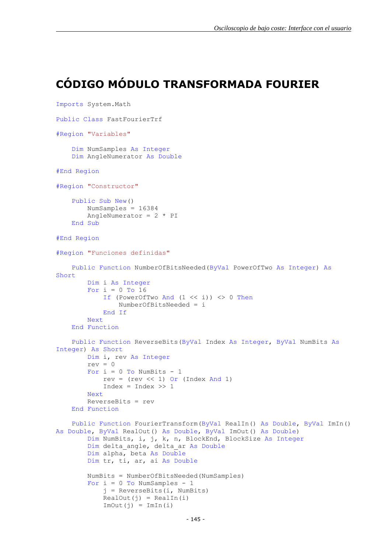## <span id="page-40-0"></span>**CÓDIGO MÓDULO TRANSFORMADA FOURIER**

```
Imports System.Math
Public Class FastFourierTrf
#Region "Variables"
     Dim NumSamples As Integer
     Dim AngleNumerator As Double
#End Region
#Region "Constructor"
     Public Sub New()
         NumSamples = 16384
        AngleNumerator = 2 * PI End Sub
#End Region
#Region "Funciones definidas"
     Public Function NumberOfBitsNeeded(ByVal PowerOfTwo As Integer) As
Short
         Dim i As Integer
        For i = 0 To 16
            If (PowerOfTwo And (1 \leq \ i)) \leq 0 Then
                 NumberOfBitsNeeded = i
             End If
         Next
     End Function
     Public Function ReverseBits(ByVal Index As Integer, ByVal NumBits As
Integer) As Short
         Dim i, rev As Integer
        rev = 0For i = 0 To NumBits - 1
            rev = (rev \ll 1) Or (Index And 1)
            Index = Index >> 1 Next
         ReverseBits = rev
     End Function
     Public Function FourierTransform(ByVal RealIn() As Double, ByVal ImIn() 
As Double, ByVal RealOut() As Double, ByVal ImOut() As Double)
         Dim NumBits, i, j, k, n, BlockEnd, BlockSize As Integer
        Dim delta angle, delta ar As Double
         Dim alpha, beta As Double
         Dim tr, ti, ar, ai As Double
         NumBits = NumberOfBitsNeeded(NumSamples)
        For i = 0 To NumSamples - 1
             j = ReverseBits(i, NumBits)
            RealOut(j) = RealIn(i)ImOut(j) = ImIn(i)
```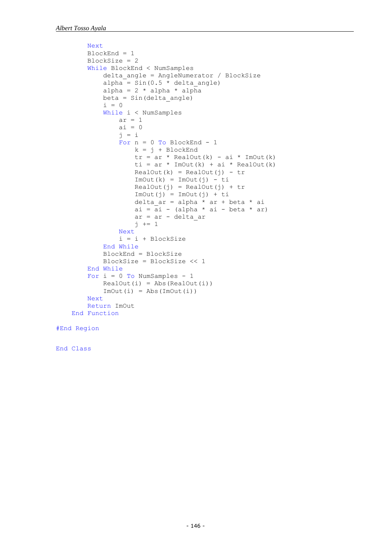```
 Next
        BlockEnd = 1
        BlockSize = 2
         While BlockEnd < NumSamples
            delta angle = AngleNumerator / BlockSize
            alpha = Sin(0.5 * delta angle)alpha = 2 * alpha * alpha
             beta = Sin(delta_angle)
            i = 0 While i < NumSamples
                ar = 1ai = 0j = iFor n = 0 To BlockEnd - 1
                    k = j + BlockEndtr = ar * RealOut(k) - ai * ImOut(k)ti = ar * ImOut(k) + ai * RealOut(k)
                    RealOut(k) = RealOut(j) - trImOut(k) = ImOut(j) - tiRealOut(j) = RealOut(j) + trImOut(j) = ImOut(j) + tidelta_ar = alpha * ar + beta * ai
                    ai = ai - (alpha * ai - beta * ar) ar = ar - delta_ar
                    j += 1
                 Next
                i = i + BlockSize End While
             BlockEnd = BlockSize
             BlockSize = BlockSize << 1
         End While
        For i = 0 To NumSamples - 1
            RealOut(i) = Abs(RealOut(i))ImOut(i) = Abs(ImOut(i)) Next
         Return ImOut
    End Function
#End Region
```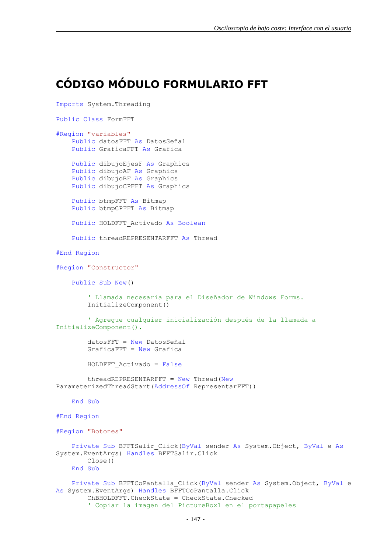#### <span id="page-42-0"></span>**CÓDIGO MÓDULO FORMULARIO FFT**

```
Imports System.Threading
Public Class FormFFT
#Region "variables"
     Public datosFFT As DatosSeñal
     Public GraficaFFT As Grafica
     Public dibujoEjesF As Graphics
     Public dibujoAF As Graphics
     Public dibujoBF As Graphics
     Public dibujoCPFFT As Graphics
     Public btmpFFT As Bitmap
     Public btmpCPFFT As Bitmap
    Public HOLDFFT Activado As Boolean
     Public threadREPRESENTARFFT As Thread
#End Region
#Region "Constructor"
     Public Sub New()
         ' Llamada necesaria para el Diseñador de Windows Forms.
         InitializeComponent()
         ' Agregue cualquier inicialización después de la llamada a 
InitializeComponent().
         datosFFT = New DatosSeñal
         GraficaFFT = New Grafica
        HOLDFFT Activado = False
        threedREPRESENTARFFT = New Thread(New)ParameterizedThreadStart(AddressOf RepresentarFFT))
     End Sub
#End Region
#Region "Botones"
     Private Sub BFFTSalir_Click(ByVal sender As System.Object, ByVal e As
System.EventArgs) Handles BFFTSalir.Click
         Close()
     End Sub
     Private Sub BFFTCoPantalla_Click(ByVal sender As System.Object, ByVal e 
As System.EventArgs) Handles BFFTCoPantalla.Click
         ChBHOLDFFT.CheckState = CheckState.Checked
         ' Copiar la imagen del PictureBox1 en el portapapeles
```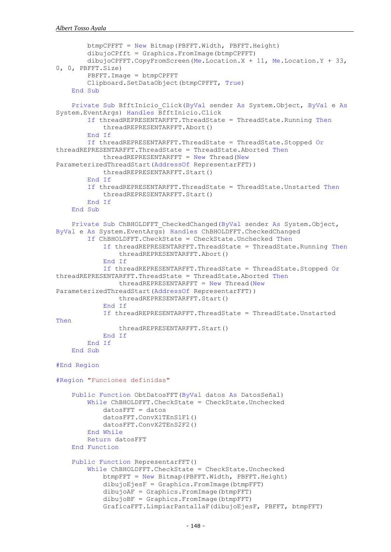```
btmpCPFFT = New Bitmap(PBFFT.Width, PBFFT.Height)
        dibujoCPfft = Graphics.FromImage(btmpCPFFT) dibujoCPFFT.CopyFromScreen(Me.Location.X + 11, Me.Location.Y + 33, 
0, 0, PBFFT.Size)
         PBFFT.Image = btmpCPFFT
         Clipboard.SetDataObject(btmpCPFFT, True)
     End Sub
    Private Sub BfftInicio Click(ByVal sender As System.Object, ByVal e As
System.EventArgs) Handles BfftInicio.Click
         If threadREPRESENTARFFT.ThreadState = ThreadState.Running Then
             threadREPRESENTARFFT.Abort()
         End If
         If threadREPRESENTARFFT.ThreadState = ThreadState.Stopped Or
threadREPRESENTARFFT.ThreadState = ThreadState.Aborted Then
            threedREPRESENTARFFT = New Thread(New)ParameterizedThreadStart(AddressOf RepresentarFFT))
             threadREPRESENTARFFT.Start()
         End If
         If threadREPRESENTARFFT.ThreadState = ThreadState.Unstarted Then
             threadREPRESENTARFFT.Start()
         End If
     End Sub
    Private Sub ChBHOLDFFT CheckedChanged(ByVal sender As System.Object,
ByVal e As System.EventArgs) Handles ChBHOLDFFT.CheckedChanged
         If ChBHOLDFFT.CheckState = CheckState.Unchecked Then
             If threadREPRESENTARFFT.ThreadState = ThreadState.Running Then
                 threadREPRESENTARFFT.Abort()
             End If
             If threadREPRESENTARFFT.ThreadState = ThreadState.Stopped Or
threadREPRESENTARFFT.ThreadState = ThreadState.Aborted Then
                 threadREPRESENTARFFT = New Thread(New
ParameterizedThreadStart(AddressOf RepresentarFFT))
                 threadREPRESENTARFFT.Start()
             End If
             If threadREPRESENTARFFT.ThreadState = ThreadState.Unstarted 
Then
                 threadREPRESENTARFFT.Start()
             End If
         End If
     End Sub
#End Region
#Region "Funciones definidas"
     Public Function ObtDatosFFT(ByVal datos As DatosSeñal)
         While ChBHOLDFFT.CheckState = CheckState.Unchecked
            datorsFFT = datos datosFFT.ConvX1TEnS1F1()
             datosFFT.ConvX2TEnS2F2()
         End While
         Return datosFFT
     End Function
     Public Function RepresentarFFT()
         While ChBHOLDFFT.CheckState = CheckState.Unchecked
             btmpFFT = New Bitmap(PBFFT.Width, PBFFT.Height)
             dibujoEjesF = Graphics.FromImage(btmpFFT)
             dibujoAF = Graphics.FromImage(btmpFFT)
             dibujoBF = Graphics.FromImage(btmpFFT)
             GraficaFFT.LimpiarPantallaF(dibujoEjesF, PBFFT, btmpFFT)
```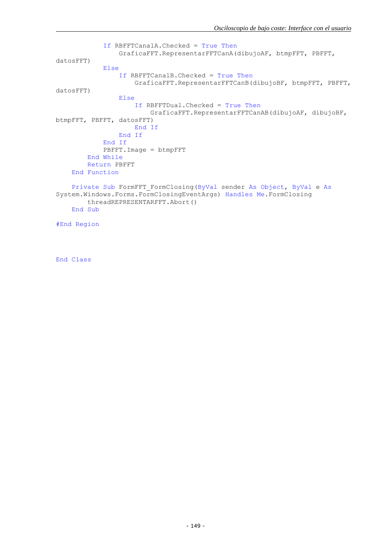```
 If RBFFTCanalA.Checked = True Then
                 GraficaFFT.RepresentarFFTCanA(dibujoAF, btmpFFT, PBFFT, 
datosFFT)
             Else
                 If RBFFTCanalB.Checked = True Then
                      GraficaFFT.RepresentarFFTCanB(dibujoBF, btmpFFT, PBFFT, 
datosFFT)
                 Else
                      If RBFFTDual.Checked = True Then
                          GraficaFFT.RepresentarFFTCanAB(dibujoAF, dibujoBF, 
btmpFFT, PBFFT, datosFFT)
                     End If
                 End If
             End If
             PBFFT.Image = btmpFFT
         End While
         Return PBFFT
     End Function
     Private Sub FormFFT_FormClosing(ByVal sender As Object, ByVal e As
System.Windows.Forms.FormClosingEventArgs) Handles Me.FormClosing
         threadREPRESENTARFFT.Abort()
     End Sub
```

```
#End Region
```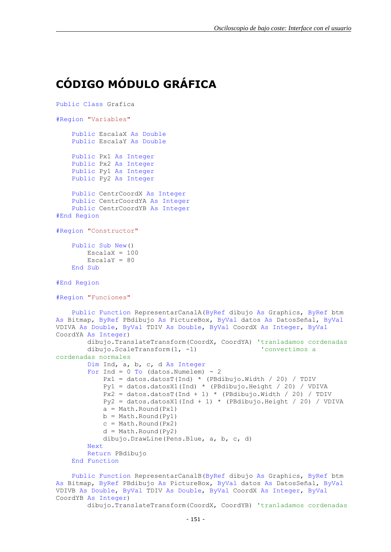#### <span id="page-46-0"></span>**CÓDIGO MÓDULO GRÁFICA**

```
Public Class Grafica
#Region "Variables"
     Public EscalaX As Double
     Public EscalaY As Double
     Public Px1 As Integer
     Public Px2 As Integer
     Public Py1 As Integer
     Public Py2 As Integer
     Public CentrCoordX As Integer
     Public CentrCoordYA As Integer
     Public CentrCoordYB As Integer
#End Region
#Region "Constructor"
     Public Sub New()
        EscalaX = 100EscalaY = 80 End Sub
#End Region
#Region "Funciones"
     Public Function RepresentarCanalA(ByRef dibujo As Graphics, ByRef btm 
As Bitmap, ByRef PBdibujo As PictureBox, ByVal datos As DatosSeñal, ByVal
VDIVA As Double, ByVal TDIV As Double, ByVal CoordX As Integer, ByVal
CoordYA As Integer)
         dibujo.TranslateTransform(CoordX, CoordYA) 'tranladamos cordenadas
        dibujo.ScaleTransform(1, -1) (convertimos a
cordenadas normales
         Dim Ind, a, b, c, d As Integer
        For Ind = 0 To (datos. Numelem) - 2
            Px1 = datos.dataosT(Ind) * (PBdibujo.Width / 20) / TDIVPy1 = 0atos.datosi(ind) * (PBdibujo.Height / 20) / VDIVA<br>Py1 = datos.datosX1(Ind) * (PBdibujo.Height / 20) / VDIVA
            Px2 = datos.datosT(Ind + 1) * (PBdibujo.Width / 20) / TDIV Py2 = datos.datosX1(Ind + 1) * (PBdibujo.Height / 20) / VDIVA
            a = Math.Round(Px1)b = Math.Round(Pv1)c = Math.Round(Px2)d = Math.Round(Py2) dibujo.DrawLine(Pens.Blue, a, b, c, d)
         Next
         Return PBdibujo
     End Function
```
 Public Function RepresentarCanalB(ByRef dibujo As Graphics, ByRef btm As Bitmap, ByRef PBdibujo As PictureBox, ByVal datos As DatosSeñal, ByVal VDIVB As Double, ByVal TDIV As Double, ByVal CoordX As Integer, ByVal CoordYB As Integer)

dibujo.TranslateTransform(CoordX, CoordYB) 'tranladamos cordenadas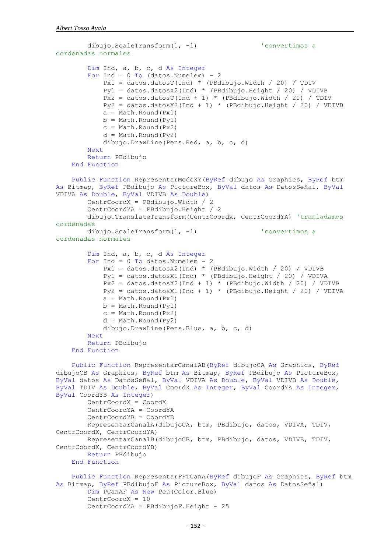```
dibujo.ScaleTransform(1, -1) \qquad \qquad 'convertimos a
cordenadas normales
         Dim Ind, a, b, c, d As Integer
        For Ind = 0 To (datos. Numelem) - 2
            Px1 = datos.datosT(Ind) * (PBdibujo.Width / 20) / TDIV Py1 = datos.datosX2(Ind) * (PBdibujo.Height / 20) / VDIVB
            Px2 = data \cdot data \cdot data \cdot \text{[Bdibuio.Width / 20] / TDIV}Py2 = datos.datosX2(Ind + 1) * (PBdibujo.Height / 20) / VDIVBa = Math.Round(Px1)b = Math.Round(Pv1)c = Math.Round(Px2) d = Math.Round(Py2)
             dibujo.DrawLine(Pens.Red, a, b, c, d)
         Next
         Return PBdibujo
     End Function
     Public Function RepresentarModoXY(ByRef dibujo As Graphics, ByRef btm 
As Bitmap, ByRef PBdibujo As PictureBox, ByVal datos As DatosSeñal, ByVal
VDIVA As Double, ByVal VDIVB As Double)
         CentrCoordX = PBdibujo.Width / 2
         CentrCoordYA = PBdibujo.Height / 2
         dibujo.TranslateTransform(CentrCoordX, CentrCoordYA) 'tranladamos 
cordenadas
        dibujo.ScaleTransform(1, -1) \qquad \qquad 'convertimos a
cordenadas normales
         Dim Ind, a, b, c, d As Integer
        For Ind = 0 To datos. Numelem - 2 Px1 = datos.datosX2(Ind) * (PBdibujo.Width / 20) / VDIVB
             Py1 = datos.datosX1(Ind) * (PBdibujo.Height / 20) / VDIVA
            Px2 = datos.dataosX2(Ind + 1) * (PBdibujo.Width / 20) / VDIVBPy2 = datos.datosX1(Ind + 1) * (PBdibujo.Height / 20) / VDIVAa = Math.Round(Px1)b = Math.Round(Pv1)c = Math.Round(Px2)d = Math.Round(Py2) dibujo.DrawLine(Pens.Blue, a, b, c, d)
         Next
         Return PBdibujo
     End Function
     Public Function RepresentarCanalAB(ByRef dibujoCA As Graphics, ByRef
dibujoCB As Graphics, ByRef btm As Bitmap, ByRef PBdibujo As PictureBox, 
ByVal datos As DatosSeñal, ByVal VDIVA As Double, ByVal VDIVB As Double, 
ByVal TDIV As Double, ByVal CoordX As Integer, ByVal CoordYA As Integer, 
ByVal CoordYB As Integer)
         CentrCoordX = CoordX
         CentrCoordYA = CoordYA
         CentrCoordYB = CoordYB
         RepresentarCanalA(dibujoCA, btm, PBdibujo, datos, VDIVA, TDIV, 
CentrCoordX, CentrCoordYA)
         RepresentarCanalB(dibujoCB, btm, PBdibujo, datos, VDIVB, TDIV, 
CentrCoordX, CentrCoordYB)
        Return PBdibujo
     End Function
     Public Function RepresentarFFTCanA(ByRef dibujoF As Graphics, ByRef btm 
As Bitmap, ByRef PBdibujoF As PictureBox, ByVal datos As DatosSeñal)
         Dim PCanAF As New Pen(Color.Blue)
         CentrCoordX = 10
         CentrCoordYA = PBdibujoF.Height - 25
```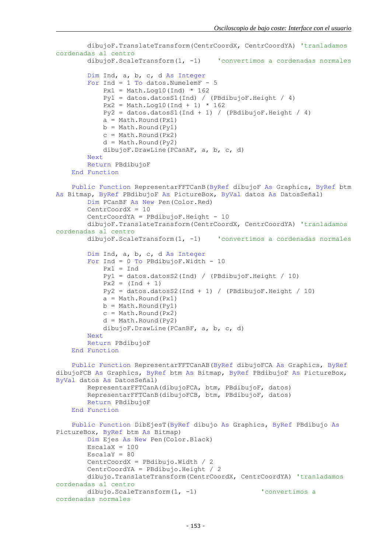```
 dibujoF.TranslateTransform(CentrCoordX, CentrCoordYA) 'tranladamos 
cordenadas al centro
         dibujoF.ScaleTransform(1, -1) 'convertimos a cordenadas normales
         Dim Ind, a, b, c, d As Integer
        For Ind = 1 To datos. NumelemF - 5
            Px1 = Math.Loq10(Ind) * 162 Py1 = datos.datosS1(Ind) / (PBdibujoF.Height / 4)
            Px2 = Math.Log10(Ind + 1) * 162Pv2 = datos.datosS1(Ind + 1) / (PBdibujoF.Height / 4)a = Math.Round(Px1)b = Math.Round(Py1)c = Math.Round(Px2)d = Math.Round(Py2) dibujoF.DrawLine(PCanAF, a, b, c, d)
         Next
         Return PBdibujoF
     End Function
     Public Function RepresentarFFTCanB(ByRef dibujoF As Graphics, ByRef btm 
As Bitmap, ByRef PBdibujoF As PictureBox, ByVal datos As DatosSeñal)
         Dim PCanBF As New Pen(Color.Red)
         CentrCoordX = 10
         CentrCoordYA = PBdibujoF.Height - 10
         dibujoF.TranslateTransform(CentrCoordX, CentrCoordYA) 'tranladamos 
cordenadas al centro
         dibujoF.ScaleTransform(1, -1) 'convertimos a cordenadas normales
         Dim Ind, a, b, c, d As Integer
        For Ind = 0 To PBdibujoF. Width - 10
            Px1 = Ind Py1 = datos.datosS2(Ind) / (PBdibujoF.Height / 10)
            Px2 = (Ind + 1)Py2 = datos.datosS2(Ind + 1) / (PBdibujoF.Height / 10)a = Math.Round(Px1)b = Math.Round(Pv1)c = Math.Round(Px2)d = Math.Round(Py2) dibujoF.DrawLine(PCanBF, a, b, c, d)
         Next
         Return PBdibujoF
     End Function
     Public Function RepresentarFFTCanAB(ByRef dibujoFCA As Graphics, ByRef
dibujoFCB As Graphics, ByRef btm As Bitmap, ByRef PBdibujoF As PictureBox, 
ByVal datos As DatosSeñal)
         RepresentarFFTCanA(dibujoFCA, btm, PBdibujoF, datos)
         RepresentarFFTCanB(dibujoFCB, btm, PBdibujoF, datos)
         Return PBdibujoF
     End Function
     Public Function DibEjesT(ByRef dibujo As Graphics, ByRef PBdibujo As
PictureBox, ByRef btm As Bitmap)
         Dim Ejes As New Pen(Color.Black)
        Escalax = 100EscalaY = 80 CentrCoordX = PBdibujo.Width / 2
         CentrCoordYA = PBdibujo.Height / 2
        dibujo.TranslateTransform(CentrCoordX, CentrCoordYA) 'tranladamos 
cordenadas al centro
       dibujo.ScaleTransform(1, -1) convertimos a
cordenadas normales
```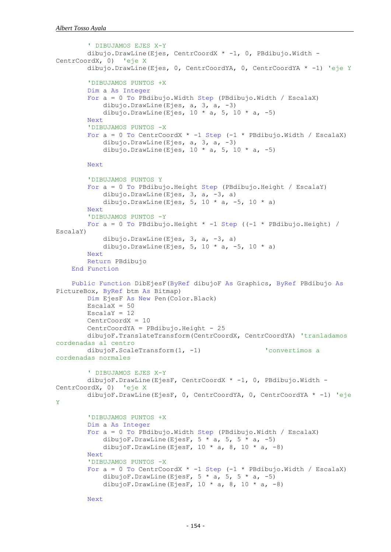```
 ' DIBUJAMOS EJES X-Y
         dibujo.DrawLine(Ejes, CentrCoordX * -1, 0, PBdibujo.Width -
CentrCoordX, 0) 'eje X
         dibujo.DrawLine(Ejes, 0, CentrCoordYA, 0, CentrCoordYA * -1) 'eje Y
         'DIBUJAMOS PUNTOS +X
         Dim a As Integer
         For a = 0 To PBdibujo.Width Step (PBdibujo.Width / EscalaX)
             dibujo.DrawLine(Ejes, a, 3, a, -3)
            dibujo.DrawLine(Ejes, 10 * a, 5, 10 * a, -5)
         Next
         'DIBUJAMOS PUNTOS -X
        For a = 0 To CentrCoordX * -1 Step (-1 * PBdibujo.Width / EscalaX)
             dibujo.DrawLine(Ejes, a, 3, a, -3)
            dibujo.DrawLine(Ejes, 10 \times a, 5, 10 \times a, -5)
         Next
         'DIBUJAMOS PUNTOS Y
         For a = 0 To PBdibujo.Height Step (PBdibujo.Height / EscalaY)
             dibujo.DrawLine(Ejes, 3, a, -3, a)
            dibujo.DrawLine(Ejes, 5, 10 * a, -5, 10 * a)
         Next
         'DIBUJAMOS PUNTOS -Y
        For a = 0 To PBdibujo.Height * -1 Step ((-1 * PBdibujo.Height) /
EscalaY)
            dibujo.DrawLine(Ejes, 3, a, -3, a)
            dibujo.DrawLine(Ejes, 5, 10 * a, -5, 10 * a)
         Next
         Return PBdibujo
     End Function
     Public Function DibEjesF(ByRef dibujoF As Graphics, ByRef PBdibujo As
PictureBox, ByRef btm As Bitmap)
         Dim EjesF As New Pen(Color.Black)
        EscalaX = 50EscalaY = 12 CentrCoordX = 10
         CentrCoordYA = PBdibujo.Height - 25
         dibujoF.TranslateTransform(CentrCoordX, CentrCoordYA) 'tranladamos 
cordenadas al centro
        dibujoF.ScaleTransform(1, -1) convertimos a
cordenadas normales
         ' DIBUJAMOS EJES X-Y
        dibujoF.DrawLine(EjesF, CentrCoordX * -1, 0, PBdibujo.Width -
CentrCoordX, 0) 'eje X
         dibujoF.DrawLine(EjesF, 0, CentrCoordYA, 0, CentrCoordYA * -1) 'eje 
Y
         'DIBUJAMOS PUNTOS +X
         Dim a As Integer
         For a = 0 To PBdibujo.Width Step (PBdibujo.Width / EscalaX)
            dibujoF.DrawLine(EjesF, 5 * a, 5 * a, -5)
            dibujoF.DrawLine(EjesF, 10 * a, 8, 10 * a, -8)
         Next
         'DIBUJAMOS PUNTOS -X
        For a = 0 To CentrCoordX * -1 Step (-1 * PBdibujo.Width / EscalaX)
            dibujoF.DrawLine(EjesF, 5 * a, 5 * a, -5)
            dibujoF.DrawLine(EjesF, 10 * a, 8, 10 * a, -8)
```

```
 Next
```